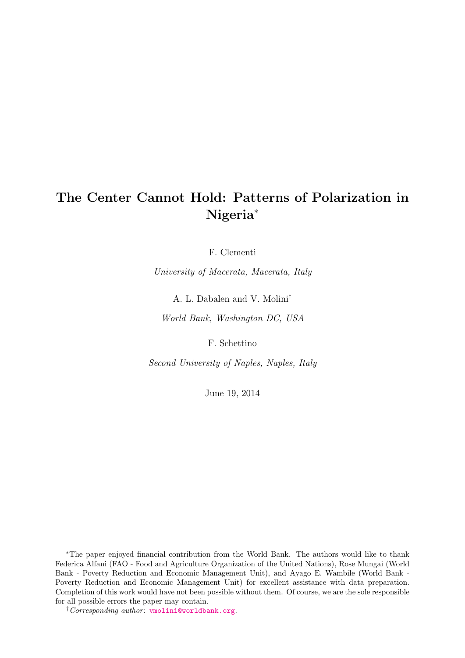# The Center Cannot Hold: Patterns of Polarization in Nigeria<sup>∗</sup>

F. Clementi

University of Macerata, Macerata, Italy

A. L. Dabalen and V. Molini† World Bank, Washington DC, USA

F. Schettino

Second University of Naples, Naples, Italy

June 19, 2014

<sup>∗</sup>The paper enjoyed financial contribution from the World Bank. The authors would like to thank Federica Alfani (FAO - Food and Agriculture Organization of the United Nations), Rose Mungai (World Bank - Poverty Reduction and Economic Management Unit), and Ayago E. Wambile (World Bank - Poverty Reduction and Economic Management Unit) for excellent assistance with data preparation. Completion of this work would have not been possible without them. Of course, we are the sole responsible for all possible errors the paper may contain.

 $\dagger$  Corresponding author: [vmolini@worldbank.org](mailto:vmolini@worldbank.org).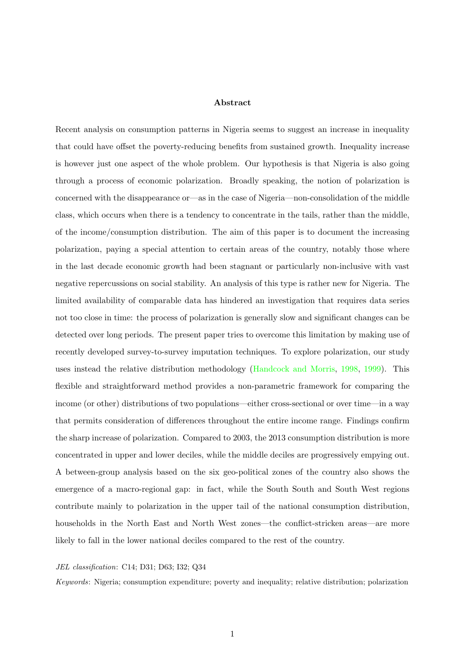#### Abstract

Recent analysis on consumption patterns in Nigeria seems to suggest an increase in inequality that could have offset the poverty-reducing benefits from sustained growth. Inequality increase is however just one aspect of the whole problem. Our hypothesis is that Nigeria is also going through a process of economic polarization. Broadly speaking, the notion of polarization is concerned with the disappearance or—as in the case of Nigeria—non-consolidation of the middle class, which occurs when there is a tendency to concentrate in the tails, rather than the middle, of the income/consumption distribution. The aim of this paper is to document the increasing polarization, paying a special attention to certain areas of the country, notably those where in the last decade economic growth had been stagnant or particularly non-inclusive with vast negative repercussions on social stability. An analysis of this type is rather new for Nigeria. The limited availability of comparable data has hindered an investigation that requires data series not too close in time: the process of polarization is generally slow and significant changes can be detected over long periods. The present paper tries to overcome this limitation by making use of recently developed survey-to-survey imputation techniques. To explore polarization, our study uses instead the relative distribution methodology [\(Handcock and Morris,](#page-28-0) [1998,](#page-28-0) [1999\)](#page-28-1). This flexible and straightforward method provides a non-parametric framework for comparing the income (or other) distributions of two populations—either cross-sectional or over time—in a way that permits consideration of differences throughout the entire income range. Findings confirm the sharp increase of polarization. Compared to 2003, the 2013 consumption distribution is more concentrated in upper and lower deciles, while the middle deciles are progressively empying out. A between-group analysis based on the six geo-political zones of the country also shows the emergence of a macro-regional gap: in fact, while the South South and South West regions contribute mainly to polarization in the upper tail of the national consumption distribution, households in the North East and North West zones—the conflict-stricken areas—are more likely to fall in the lower national deciles compared to the rest of the country.

#### JEL classification: C14; D31; D63; I32; Q34

Keywords: Nigeria; consumption expenditure; poverty and inequality; relative distribution; polarization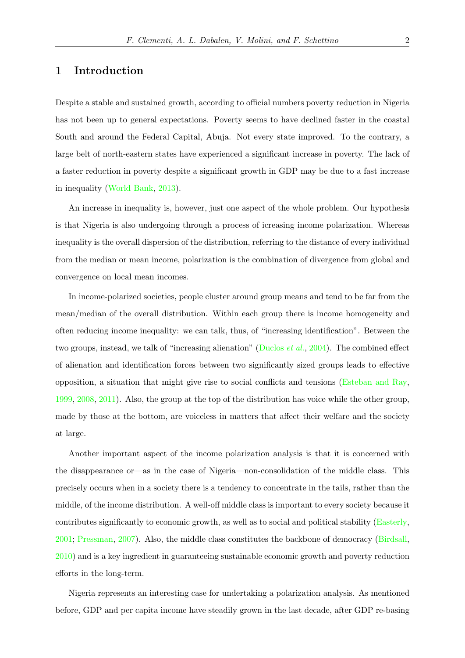# 1 Introduction

Despite a stable and sustained growth, according to official numbers poverty reduction in Nigeria has not been up to general expectations. Poverty seems to have declined faster in the coastal South and around the Federal Capital, Abuja. Not every state improved. To the contrary, a large belt of north-eastern states have experienced a significant increase in poverty. The lack of a faster reduction in poverty despite a significant growth in GDP may be due to a fast increase in inequality [\(World Bank,](#page-32-0) [2013\)](#page-32-0).

An increase in inequality is, however, just one aspect of the whole problem. Our hypothesis is that Nigeria is also undergoing through a process of icreasing income polarization. Whereas inequality is the overall dispersion of the distribution, referring to the distance of every individual from the median or mean income, polarization is the combination of divergence from global and convergence on local mean incomes.

In income-polarized societies, people cluster around group means and tend to be far from the mean/median of the overall distribution. Within each group there is income homogeneity and often reducing income inequality: we can talk, thus, of "increasing identification". Between the two groups, instead, we talk of "increasing alienation" [\(Duclos](#page-27-0) et al., [2004\)](#page-27-0). The combined effect of alienation and identification forces between two significantly sized groups leads to effective opposition, a situation that might give rise to social conflicts and tensions [\(Esteban and Ray,](#page-27-1) [1999,](#page-27-1) [2008,](#page-27-2) [2011\)](#page-27-3). Also, the group at the top of the distribution has voice while the other group, made by those at the bottom, are voiceless in matters that affect their welfare and the society at large.

Another important aspect of the income polarization analysis is that it is concerned with the disappearance or—as in the case of Nigeria—non-consolidation of the middle class. This precisely occurs when in a society there is a tendency to concentrate in the tails, rather than the middle, of the income distribution. A well-off middle class is important to every society because it contributes significantly to economic growth, as well as to social and political stability [\(Easterly,](#page-27-4) [2001;](#page-27-4) [Pressman,](#page-31-0) [2007\)](#page-31-0). Also, the middle class constitutes the backbone of democracy [\(Birdsall,](#page-26-0) [2010\)](#page-26-0) and is a key ingredient in guaranteeing sustainable economic growth and poverty reduction efforts in the long-term.

Nigeria represents an interesting case for undertaking a polarization analysis. As mentioned before, GDP and per capita income have steadily grown in the last decade, after GDP re-basing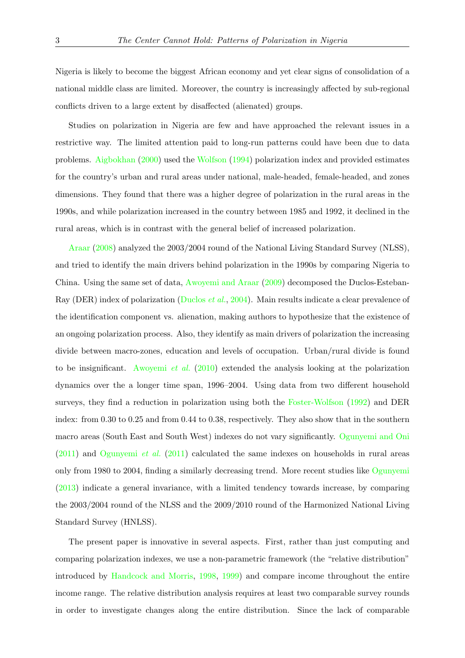Nigeria is likely to become the biggest African economy and yet clear signs of consolidation of a national middle class are limited. Moreover, the country is increasingly affected by sub-regional conflicts driven to a large extent by disaffected (alienated) groups.

Studies on polarization in Nigeria are few and have approached the relevant issues in a restrictive way. The limited attention paid to long-run patterns could have been due to data problems. [Aigbokhan](#page-24-0) [\(2000\)](#page-24-0) used the [Wolfson](#page-32-1) [\(1994\)](#page-32-1) polarization index and provided estimates for the country's urban and rural areas under national, male-headed, female-headed, and zones dimensions. They found that there was a higher degree of polarization in the rural areas in the 1990s, and while polarization increased in the country between 1985 and 1992, it declined in the rural areas, which is in contrast with the general belief of increased polarization.

[Araar](#page-25-0) [\(2008\)](#page-25-0) analyzed the 2003/2004 round of the National Living Standard Survey (NLSS), and tried to identify the main drivers behind polarization in the 1990s by comparing Nigeria to China. Using the same set of data, [Awoyemi and Araar](#page-25-1) [\(2009\)](#page-25-1) decomposed the Duclos-Esteban-Ray (DER) index of polarization [\(Duclos](#page-27-0) et al., [2004\)](#page-27-0). Main results indicate a clear prevalence of the identification component vs. alienation, making authors to hypothesize that the existence of an ongoing polarization process. Also, they identify as main drivers of polarization the increasing divide between macro-zones, education and levels of occupation. Urban/rural divide is found to be insignificant. [Awoyemi](#page-25-2) et al. [\(2010\)](#page-25-2) extended the analysis looking at the polarization dynamics over the a longer time span, 1996–2004. Using data from two different household surveys, they find a reduction in polarization using both the [Foster-Wolfson](#page-28-2) [\(1992\)](#page-28-2) and DER index: from 0.30 to 0.25 and from 0.44 to 0.38, respectively. They also show that in the southern macro areas (South East and South West) indexes do not vary significantly. [Ogunyemi and Oni](#page-30-0)  $(2011)$  and [Ogunyemi](#page-30-1) *et al.*  $(2011)$  calculated the same indexes on households in rural areas only from 1980 to 2004, finding a similarly decreasing trend. More recent studies like [Ogunyemi](#page-30-2) [\(2013\)](#page-30-2) indicate a general invariance, with a limited tendency towards increase, by comparing the 2003/2004 round of the NLSS and the 2009/2010 round of the Harmonized National Living Standard Survey (HNLSS).

The present paper is innovative in several aspects. First, rather than just computing and comparing polarization indexes, we use a non-parametric framework (the "relative distribution" introduced by [Handcock and Morris,](#page-28-0) [1998,](#page-28-0) [1999\)](#page-28-1) and compare income throughout the entire income range. The relative distribution analysis requires at least two comparable survey rounds in order to investigate changes along the entire distribution. Since the lack of comparable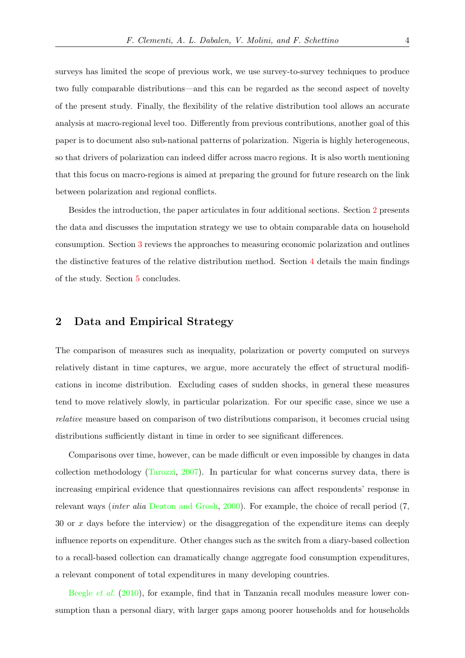surveys has limited the scope of previous work, we use survey-to-survey techniques to produce two fully comparable distributions—and this can be regarded as the second aspect of novelty of the present study. Finally, the flexibility of the relative distribution tool allows an accurate analysis at macro-regional level too. Differently from previous contributions, another goal of this paper is to document also sub-national patterns of polarization. Nigeria is highly heterogeneous, so that drivers of polarization can indeed differ across macro regions. It is also worth mentioning that this focus on macro-regions is aimed at preparing the ground for future research on the link between polarization and regional conflicts.

Besides the introduction, the paper articulates in four additional sections. Section [2](#page-4-0) presents the data and discusses the imputation strategy we use to obtain comparable data on household consumption. Section [3](#page-8-0) reviews the approaches to measuring economic polarization and outlines the distinctive features of the relative distribution method. Section [4](#page-15-0) details the main findings of the study. Section [5](#page-22-0) concludes.

# <span id="page-4-0"></span>2 Data and Empirical Strategy

The comparison of measures such as inequality, polarization or poverty computed on surveys relatively distant in time captures, we argue, more accurately the effect of structural modifications in income distribution. Excluding cases of sudden shocks, in general these measures tend to move relatively slowly, in particular polarization. For our specific case, since we use a relative measure based on comparison of two distributions comparison, it becomes crucial using distributions sufficiently distant in time in order to see significant differences.

Comparisons over time, however, can be made difficult or even impossible by changes in data collection methodology [\(Tarozzi,](#page-31-1) [2007\)](#page-31-1). In particular for what concerns survey data, there is increasing empirical evidence that questionnaires revisions can affect respondents' response in relevant ways (inter alia [Deaton and Grosh,](#page-27-5) [2000\)](#page-27-5). For example, the choice of recall period (7, 30 or x days before the interview) or the disaggregation of the expenditure items can deeply influence reports on expenditure. Other changes such as the switch from a diary-based collection to a recall-based collection can dramatically change aggregate food consumption expenditures, a relevant component of total expenditures in many developing countries.

[Beegle](#page-25-3) et al. [\(2010\)](#page-25-3), for example, find that in Tanzania recall modules measure lower consumption than a personal diary, with larger gaps among poorer households and for households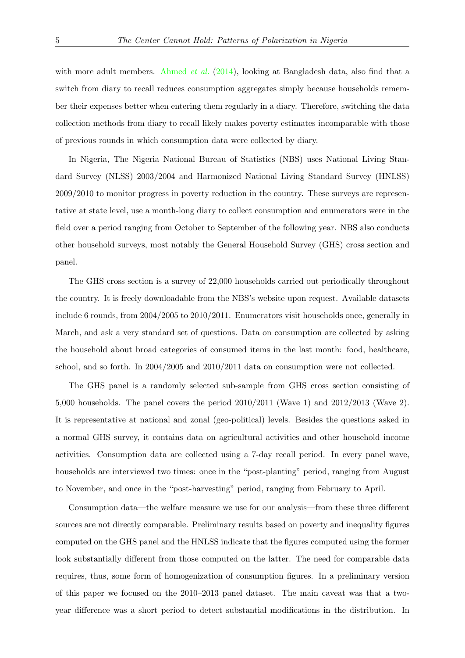with more adult members. [Ahmed](#page-24-1) *et al.* [\(2014\)](#page-24-1), looking at Bangladesh data, also find that a switch from diary to recall reduces consumption aggregates simply because households remember their expenses better when entering them regularly in a diary. Therefore, switching the data collection methods from diary to recall likely makes poverty estimates incomparable with those of previous rounds in which consumption data were collected by diary.

In Nigeria, The Nigeria National Bureau of Statistics (NBS) uses National Living Standard Survey (NLSS) 2003/2004 and Harmonized National Living Standard Survey (HNLSS) 2009/2010 to monitor progress in poverty reduction in the country. These surveys are representative at state level, use a month-long diary to collect consumption and enumerators were in the field over a period ranging from October to September of the following year. NBS also conducts other household surveys, most notably the General Household Survey (GHS) cross section and panel.

The GHS cross section is a survey of 22,000 households carried out periodically throughout the country. It is freely downloadable from the NBS's website upon request. Available datasets include 6 rounds, from 2004/2005 to 2010/2011. Enumerators visit households once, generally in March, and ask a very standard set of questions. Data on consumption are collected by asking the household about broad categories of consumed items in the last month: food, healthcare, school, and so forth. In 2004/2005 and 2010/2011 data on consumption were not collected.

The GHS panel is a randomly selected sub-sample from GHS cross section consisting of 5,000 households. The panel covers the period 2010/2011 (Wave 1) and 2012/2013 (Wave 2). It is representative at national and zonal (geo-political) levels. Besides the questions asked in a normal GHS survey, it contains data on agricultural activities and other household income activities. Consumption data are collected using a 7-day recall period. In every panel wave, households are interviewed two times: once in the "post-planting" period, ranging from August to November, and once in the "post-harvesting" period, ranging from February to April.

Consumption data—the welfare measure we use for our analysis—from these three different sources are not directly comparable. Preliminary results based on poverty and inequality figures computed on the GHS panel and the HNLSS indicate that the figures computed using the former look substantially different from those computed on the latter. The need for comparable data requires, thus, some form of homogenization of consumption figures. In a preliminary version of this paper we focused on the 2010–2013 panel dataset. The main caveat was that a twoyear difference was a short period to detect substantial modifications in the distribution. In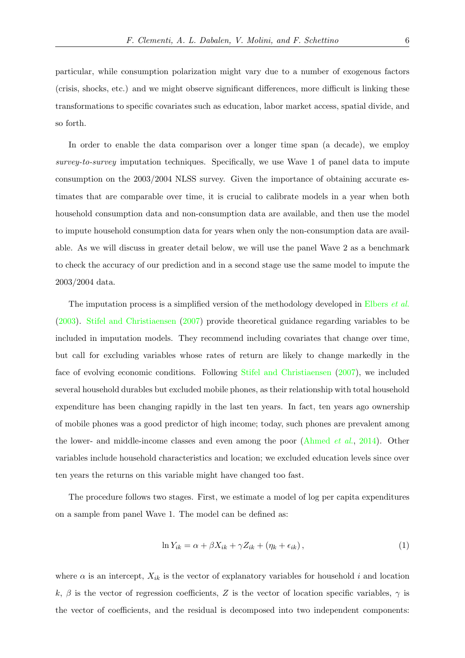particular, while consumption polarization might vary due to a number of exogenous factors (crisis, shocks, etc.) and we might observe significant differences, more difficult is linking these transformations to specific covariates such as education, labor market access, spatial divide, and so forth.

In order to enable the data comparison over a longer time span (a decade), we employ survey-to-survey imputation techniques. Specifically, we use Wave 1 of panel data to impute consumption on the 2003/2004 NLSS survey. Given the importance of obtaining accurate estimates that are comparable over time, it is crucial to calibrate models in a year when both household consumption data and non-consumption data are available, and then use the model to impute household consumption data for years when only the non-consumption data are available. As we will discuss in greater detail below, we will use the panel Wave 2 as a benchmark to check the accuracy of our prediction and in a second stage use the same model to impute the 2003/2004 data.

The imputation process is a simplified version of the methodology developed in [Elbers](#page-27-6) et al. [\(2003\)](#page-27-6). [Stifel and Christiaensen](#page-31-2) [\(2007\)](#page-31-2) provide theoretical guidance regarding variables to be included in imputation models. They recommend including covariates that change over time, but call for excluding variables whose rates of return are likely to change markedly in the face of evolving economic conditions. Following [Stifel and Christiaensen](#page-31-2) [\(2007\)](#page-31-2), we included several household durables but excluded mobile phones, as their relationship with total household expenditure has been changing rapidly in the last ten years. In fact, ten years ago ownership of mobile phones was a good predictor of high income; today, such phones are prevalent among the lower- and middle-income classes and even among the poor [\(Ahmed](#page-24-1) *et al.*, [2014\)](#page-24-1). Other variables include household characteristics and location; we excluded education levels since over ten years the returns on this variable might have changed too fast.

The procedure follows two stages. First, we estimate a model of log per capita expenditures on a sample from panel Wave 1. The model can be defined as:

<span id="page-6-0"></span>
$$
\ln Y_{ik} = \alpha + \beta X_{ik} + \gamma Z_{ik} + (\eta_k + \epsilon_{ik}), \qquad (1)
$$

where  $\alpha$  is an intercept,  $X_{ik}$  is the vector of explanatory variables for household i and location k,  $\beta$  is the vector of regression coefficients, Z is the vector of location specific variables,  $\gamma$  is the vector of coefficients, and the residual is decomposed into two independent components: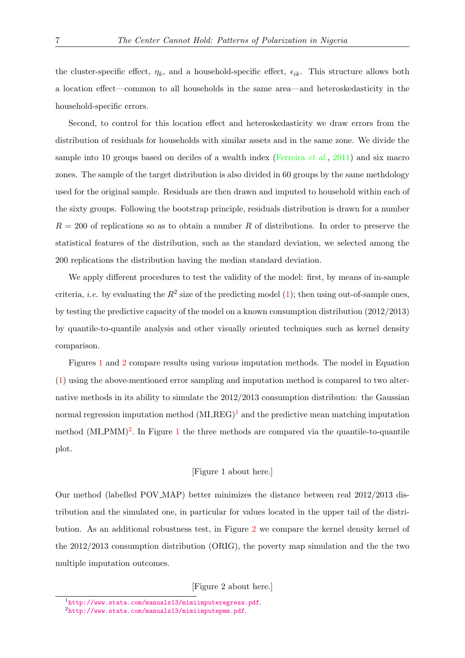the cluster-specific effect,  $\eta_k$ , and a household-specific effect,  $\epsilon_{ik}$ . This structure allows both a location effect—common to all households in the same area—and heteroskedasticity in the household-specific errors.

Second, to control for this location effect and heteroskedasticity we draw errors from the distribution of residuals for households with similar assets and in the same zone. We divide the sample into 10 groups based on deciles of a wealth index [\(Ferreira](#page-28-3) *et al.*, [2011\)](#page-28-3) and six macro zones. The sample of the target distribution is also divided in 60 groups by the same methdology used for the original sample. Residuals are then drawn and imputed to household within each of the sixty groups. Following the bootstrap principle, residuals distribution is drawn for a number  $R = 200$  of replications so as to obtain a number R of distributions. In order to preserve the statistical features of the distribution, such as the standard deviation, we selected among the 200 replications the distribution having the median standard deviation.

We apply different procedures to test the validity of the model: first, by means of in-sample criteria, *i.e.* by evaluating the  $R^2$  size of the predicting model [\(1\)](#page-6-0); then using out-of-sample ones, by testing the predictive capacity of the model on a known consumption distribution (2012/2013) by quantile-to-quantile analysis and other visually oriented techniques such as kernel density comparison.

Figures [1](#page-38-0) and [2](#page-39-0) compare results using various imputation methods. The model in Equation [\(1\)](#page-6-0) using the above-mentioned error sampling and imputation method is compared to two alternative methods in its ability to simulate the 2012/2013 consumption distribution: the Gaussian normal regression imputation method  $(MI, REG)^1$  $(MI, REG)^1$  and the predictive mean matching imputation method  $(MLPMM)^2$  $(MLPMM)^2$ . In Figure [1](#page-38-0) the three methods are compared via the quantile-to-quantile plot.

#### [Figure 1 about here.]

Our method (labelled POV MAP) better minimizes the distance between real 2012/2013 distribution and the simulated one, in particular for values located in the upper tail of the distribution. As an additional robustness test, in Figure [2](#page-39-0) we compare the kernel density kernel of the 2012/2013 consumption distribution (ORIG), the poverty map simulation and the the two multiple imputation outcomes.

[Figure 2 about here.]

<span id="page-7-0"></span><sup>1</sup> <http://www.stata.com/manuals13/mimiimputeregress.pdf>.

<span id="page-7-1"></span><sup>2</sup> <http://www.stata.com/manuals13/mimiimputepmm.pdf>.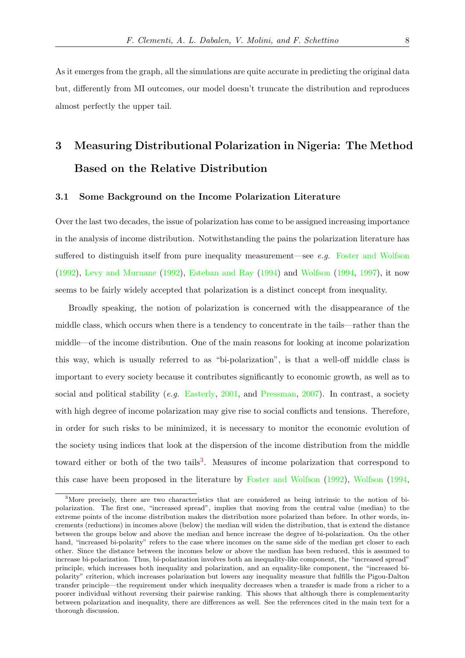As it emerges from the graph, all the simulations are quite accurate in predicting the original data but, differently from MI outcomes, our model doesn't truncate the distribution and reproduces almost perfectly the upper tail.

# <span id="page-8-0"></span>3 Measuring Distributional Polarization in Nigeria: The Method Based on the Relative Distribution

#### 3.1 Some Background on the Income Polarization Literature

Over the last two decades, the issue of polarization has come to be assigned increasing importance in the analysis of income distribution. Notwithstanding the pains the polarization literature has suffered to distinguish itself from pure inequality measurement—see e.g. [Foster and Wolfson](#page-28-2) [\(1992\)](#page-28-2), [Levy and Murnane](#page-29-0) [\(1992\)](#page-29-0), [Esteban and Ray](#page-27-7) [\(1994\)](#page-27-7) and [Wolfson](#page-32-1) [\(1994,](#page-32-1) [1997\)](#page-32-2), it now seems to be fairly widely accepted that polarization is a distinct concept from inequality.

Broadly speaking, the notion of polarization is concerned with the disappearance of the middle class, which occurs when there is a tendency to concentrate in the tails—rather than the middle—of the income distribution. One of the main reasons for looking at income polarization this way, which is usually referred to as "bi-polarization", is that a well-off middle class is important to every society because it contributes significantly to economic growth, as well as to social and political stability (e.g. [Easterly,](#page-27-4) [2001,](#page-27-4) and [Pressman,](#page-31-0) [2007\)](#page-31-0). In contrast, a society with high degree of income polarization may give rise to social conflicts and tensions. Therefore, in order for such risks to be minimized, it is necessary to monitor the economic evolution of the society using indices that look at the dispersion of the income distribution from the middle toward either or both of the two tails<sup>[3](#page-8-1)</sup>. Measures of income polarization that correspond to this case have been proposed in the literature by [Foster and Wolfson](#page-28-2) [\(1992\)](#page-28-2), [Wolfson](#page-32-1) [\(1994,](#page-32-1)

<span id="page-8-1"></span><sup>&</sup>lt;sup>3</sup>More precisely, there are two characteristics that are considered as being intrinsic to the notion of bipolarization. The first one, "increased spread", implies that moving from the central value (median) to the extreme points of the income distribution makes the distribution more polarized than before. In other words, increments (reductions) in incomes above (below) the median will widen the distribution, that is extend the distance between the groups below and above the median and hence increase the degree of bi-polarization. On the other hand, "increased bi-polarity" refers to the case where incomes on the same side of the median get closer to each other. Since the distance between the incomes below or above the median has been reduced, this is assumed to increase bi-polarization. Thus, bi-polarization involves both an inequality-like component, the "increased spread" principle, which increases both inequality and polarization, and an equality-like component, the "increased bipolarity" criterion, which increases polarization but lowers any inequality measure that fulfills the Pigou-Dalton transfer principle—the requirement under which inequality decreases when a transfer is made from a richer to a poorer individual without reversing their pairwise ranking. This shows that although there is complementarity between polarization and inequality, there are differences as well. See the references cited in the main text for a thorough discussion.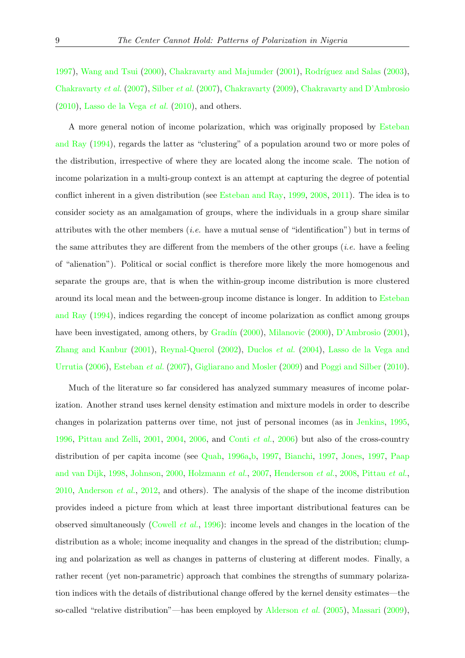[1997\)](#page-32-2), [Wang and Tsui](#page-32-3) [\(2000\)](#page-32-3), [Chakravarty and Majumder](#page-26-1) [\(2001\)](#page-26-1), Rodríguez and Salas [\(2003\)](#page-31-3), [Chakravarty](#page-26-2) et al. [\(2007\)](#page-26-2), [Silber](#page-31-4) et al. [\(2007\)](#page-31-4), [Chakravarty](#page-26-3) [\(2009\)](#page-26-3), [Chakravarty and D'Ambrosio](#page-26-4)  $(2010)$ , [Lasso de la Vega](#page-29-1) *et al.*  $(2010)$ , and others.

A more general notion of income polarization, which was originally proposed by [Esteban](#page-27-7) [and Ray](#page-27-7) [\(1994\)](#page-27-7), regards the latter as "clustering" of a population around two or more poles of the distribution, irrespective of where they are located along the income scale. The notion of income polarization in a multi-group context is an attempt at capturing the degree of potential conflict inherent in a given distribution (see [Esteban and Ray,](#page-27-1) [1999,](#page-27-1) [2008,](#page-27-2) [2011\)](#page-27-3). The idea is to consider society as an amalgamation of groups, where the individuals in a group share similar attributes with the other members (i.e. have a mutual sense of "identification") but in terms of the same attributes they are different from the members of the other groups (*i.e.* have a feeling of "alienation"). Political or social conflict is therefore more likely the more homogenous and separate the groups are, that is when the within-group income distribution is more clustered around its local mean and the between-group income distance is longer. In addition to [Esteban](#page-27-7) [and Ray](#page-27-7) [\(1994\)](#page-27-7), indices regarding the concept of income polarization as conflict among groups have been investigated, among others, by Gradín [\(2000\)](#page-30-3), [Milanovic](#page-30-3) (2000), [D'Ambrosio](#page-27-8) [\(2001\)](#page-27-8), [Zhang and Kanbur](#page-32-4) [\(2001\)](#page-32-4), [Reynal-Querol](#page-31-5) [\(2002\)](#page-31-5), [Duclos](#page-27-0) et al. [\(2004\)](#page-27-0), [Lasso de la Vega and](#page-29-2) [Urrutia](#page-29-2) [\(2006\)](#page-29-2), [Esteban](#page-28-5) et al. [\(2007\)](#page-28-5), [Gigliarano and Mosler](#page-28-6) [\(2009\)](#page-28-6) and [Poggi and Silber](#page-31-6) [\(2010\)](#page-31-6).

Much of the literature so far considered has analyzed summary measures of income polarization. Another strand uses kernel density estimation and mixture models in order to describe changes in polarization patterns over time, not just of personal incomes (as in [Jenkins,](#page-29-3) [1995,](#page-29-3) [1996,](#page-29-4) [Pittau and Zelli,](#page-30-4) [2001,](#page-30-4) [2004,](#page-30-5) [2006,](#page-30-6) and [Conti](#page-27-9) et al., [2006\)](#page-27-9) but also of the cross-country distribution of per capita income (see [Quah,](#page-31-7) [1996a,](#page-31-7)[b,](#page-31-8) [1997,](#page-31-9) [Bianchi,](#page-26-5) [1997,](#page-26-5) [Jones,](#page-29-5) [1997,](#page-29-5) [Paap](#page-30-7) [and van Dijk,](#page-30-7) [1998,](#page-30-7) [Johnson,](#page-29-6) [2000,](#page-29-6) [Holzmann](#page-29-7) et al., [2007,](#page-29-7) [Henderson](#page-29-8) et al., [2008,](#page-29-8) [Pittau](#page-31-10) et al., [2010,](#page-31-10) [Anderson](#page-25-4) et al., [2012,](#page-25-4) and others). The analysis of the shape of the income distribution provides indeed a picture from which at least three important distributional features can be observed simultaneously [\(Cowell](#page-27-10) et al., [1996\)](#page-27-10): income levels and changes in the location of the distribution as a whole; income inequality and changes in the spread of the distribution; clumping and polarization as well as changes in patterns of clustering at different modes. Finally, a rather recent (yet non-parametric) approach that combines the strengths of summary polarization indices with the details of distributional change offered by the kernel density estimates—the so-called "relative distribution"—has been employed by [Alderson](#page-25-5) et al. [\(2005\)](#page-25-5), [Massari](#page-29-9) [\(2009\)](#page-29-9),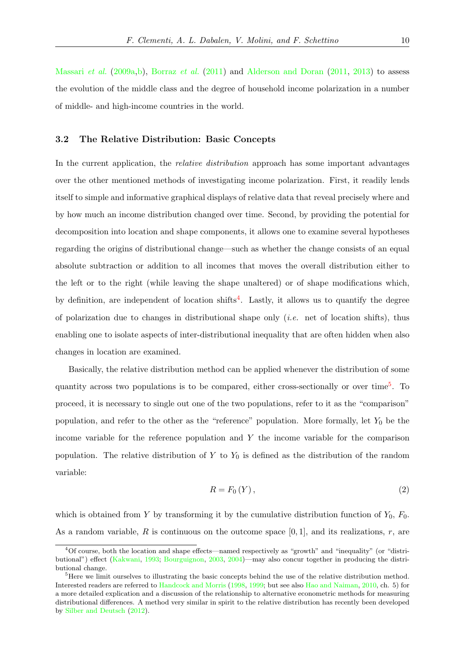[Massari](#page-30-8) et al.  $(2009a,b)$  $(2009a,b)$ , [Borraz](#page-26-6) et al.  $(2011)$  and [Alderson and Doran](#page-24-2)  $(2011, 2013)$  $(2011, 2013)$  $(2011, 2013)$  to assess the evolution of the middle class and the degree of household income polarization in a number of middle- and high-income countries in the world.

#### 3.2 The Relative Distribution: Basic Concepts

In the current application, the *relative distribution* approach has some important advantages over the other mentioned methods of investigating income polarization. First, it readily lends itself to simple and informative graphical displays of relative data that reveal precisely where and by how much an income distribution changed over time. Second, by providing the potential for decomposition into location and shape components, it allows one to examine several hypotheses regarding the origins of distributional change—such as whether the change consists of an equal absolute subtraction or addition to all incomes that moves the overall distribution either to the left or to the right (while leaving the shape unaltered) or of shape modifications which, by definition, are independent of location shifts<sup>[4](#page-10-0)</sup>. Lastly, it allows us to quantify the degree of polarization due to changes in distributional shape only *(i.e.* net of location shifts), thus enabling one to isolate aspects of inter-distributional inequality that are often hidden when also changes in location are examined.

Basically, the relative distribution method can be applied whenever the distribution of some quantity across two populations is to be compared, either cross-sectionally or over time<sup>[5](#page-10-1)</sup>. To proceed, it is necessary to single out one of the two populations, refer to it as the "comparison" population, and refer to the other as the "reference" population. More formally, let  $Y_0$  be the income variable for the reference population and  $Y$  the income variable for the comparison population. The relative distribution of Y to  $Y_0$  is defined as the distribution of the random variable:

$$
R = F_0(Y),\tag{2}
$$

which is obtained from Y by transforming it by the cumulative distribution function of  $Y_0$ ,  $F_0$ . As a random variable, R is continuous on the outcome space  $[0, 1]$ , and its realizations, r, are

<span id="page-10-0"></span><sup>4</sup>Of course, both the location and shape effects—named respectively as "growth" and "inequality" (or "distributional") effect [\(Kakwani,](#page-29-10) [1993;](#page-29-10) [Bourguignon,](#page-26-7) [2003,](#page-26-7) [2004\)](#page-26-8)—may also concur together in producing the distributional change.

<span id="page-10-1"></span><sup>&</sup>lt;sup>5</sup>Here we limit ourselves to illustrating the basic concepts behind the use of the relative distribution method. Interested readers are referred to [Handcock and Morris](#page-28-0) [\(1998,](#page-28-0) [1999;](#page-28-1) but see also [Hao and Naiman,](#page-28-7) [2010,](#page-28-7) ch. 5) for a more detailed explication and a discussion of the relationship to alternative econometric methods for measuring distributional differences. A method very similar in spirit to the relative distribution has recently been developed by [Silber and Deutsch](#page-31-11) [\(2012\)](#page-31-11).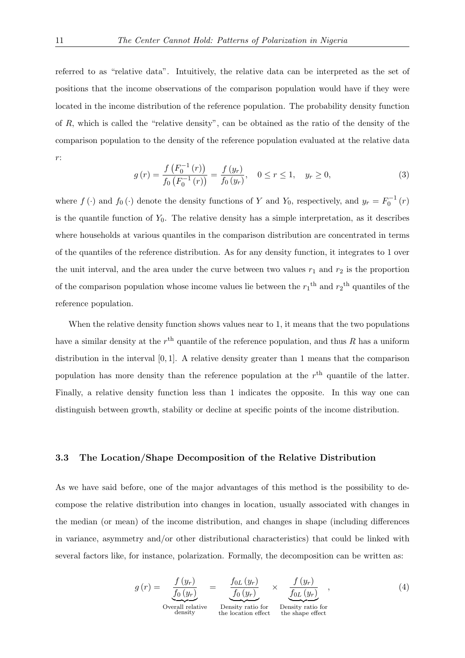referred to as "relative data". Intuitively, the relative data can be interpreted as the set of positions that the income observations of the comparison population would have if they were located in the income distribution of the reference population. The probability density function of R, which is called the "relative density", can be obtained as the ratio of the density of the comparison population to the density of the reference population evaluated at the relative data r:

$$
g(r) = \frac{f(F_0^{-1}(r))}{f_0(F_0^{-1}(r))} = \frac{f(y_r)}{f_0(y_r)}, \quad 0 \le r \le 1, \quad y_r \ge 0,
$$
\n(3)

where  $f(\cdot)$  and  $f_0(\cdot)$  denote the density functions of Y and Y<sub>0</sub>, respectively, and  $y_r = F_0^{-1}(r)$ is the quantile function of  $Y_0$ . The relative density has a simple interpretation, as it describes where households at various quantiles in the comparison distribution are concentrated in terms of the quantiles of the reference distribution. As for any density function, it integrates to 1 over the unit interval, and the area under the curve between two values  $r_1$  and  $r_2$  is the proportion of the comparison population whose income values lie between the  $r_1$ <sup>th</sup> and  $r_2$ <sup>th</sup> quantiles of the reference population.

When the relative density function shows values near to 1, it means that the two populations have a similar density at the  $r<sup>th</sup>$  quantile of the reference population, and thus R has a uniform distribution in the interval  $[0, 1]$ . A relative density greater than 1 means that the comparison population has more density than the reference population at the  $r<sup>th</sup>$  quantile of the latter. Finally, a relative density function less than 1 indicates the opposite. In this way one can distinguish between growth, stability or decline at specific points of the income distribution.

#### 3.3 The Location/Shape Decomposition of the Relative Distribution

As we have said before, one of the major advantages of this method is the possibility to decompose the relative distribution into changes in location, usually associated with changes in the median (or mean) of the income distribution, and changes in shape (including differences in variance, asymmetry and/or other distributional characteristics) that could be linked with several factors like, for instance, polarization. Formally, the decomposition can be written as:

<span id="page-11-0"></span>
$$
g(r) = \underbrace{\frac{f(y_r)}{f_0(y_r)}}_{\text{Overall relative}} = \underbrace{\frac{f_{0L}(y_r)}{f_0(y_r)}}_{\text{Density ratio for}} \times \underbrace{\frac{f(y_r)}{f_{0L}(y_r)}}_{\text{Density ratio for}} \tag{4}
$$

the shape effect

the location effect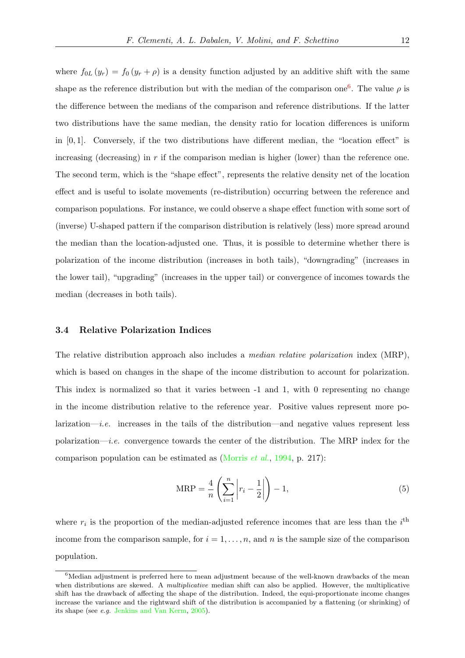where  $f_{0L}(y_r) = f_0(y_r + \rho)$  is a density function adjusted by an additive shift with the same shape as the reference distribution but with the median of the comparison one<sup>[6](#page-12-0)</sup>. The value  $\rho$  is the difference between the medians of the comparison and reference distributions. If the latter two distributions have the same median, the density ratio for location differences is uniform in  $[0, 1]$ . Conversely, if the two distributions have different median, the "location effect" is increasing (decreasing) in  $r$  if the comparison median is higher (lower) than the reference one. The second term, which is the "shape effect", represents the relative density net of the location effect and is useful to isolate movements (re-distribution) occurring between the reference and comparison populations. For instance, we could observe a shape effect function with some sort of (inverse) U-shaped pattern if the comparison distribution is relatively (less) more spread around the median than the location-adjusted one. Thus, it is possible to determine whether there is polarization of the income distribution (increases in both tails), "downgrading" (increases in the lower tail), "upgrading" (increases in the upper tail) or convergence of incomes towards the median (decreases in both tails).

#### 3.4 Relative Polarization Indices

The relative distribution approach also includes a median relative polarization index (MRP), which is based on changes in the shape of the income distribution to account for polarization. This index is normalized so that it varies between -1 and 1, with 0 representing no change in the income distribution relative to the reference year. Positive values represent more polarization—*i.e.* increases in the tails of the distribution—and negative values represent less polarization—*i.e.* convergence towards the center of the distribution. The MRP index for the comparison population can be estimated as [\(Morris](#page-30-10) *et al.*, [1994,](#page-30-10) p. 217):

<span id="page-12-1"></span>
$$
MRP = \frac{4}{n} \left( \sum_{i=1}^{n} \left| r_i - \frac{1}{2} \right| \right) - 1,\tag{5}
$$

where  $r_i$  is the proportion of the median-adjusted reference incomes that are less than the  $i^{\text{th}}$ income from the comparison sample, for  $i = 1, \ldots, n$ , and n is the sample size of the comparison population.

<span id="page-12-0"></span> $6$ Median adjustment is preferred here to mean adjustment because of the well-known drawbacks of the mean when distributions are skewed. A *multiplicative* median shift can also be applied. However, the multiplicative shift has the drawback of affecting the shape of the distribution. Indeed, the equi-proportionate income changes increase the variance and the rightward shift of the distribution is accompanied by a flattening (or shrinking) of its shape (see e.g. [Jenkins and Van Kerm,](#page-29-11) [2005\)](#page-29-11).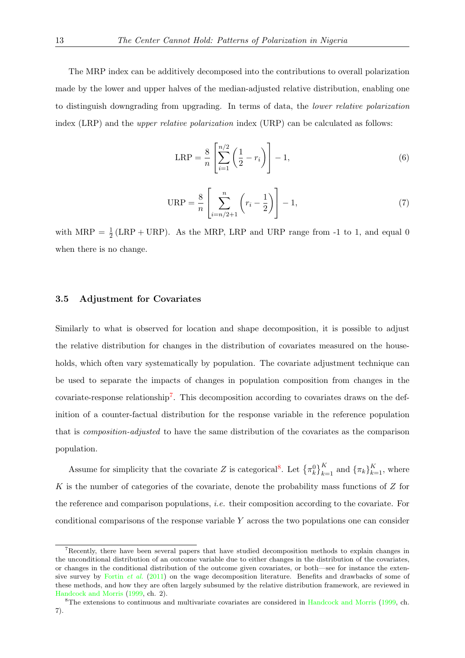The MRP index can be additively decomposed into the contributions to overall polarization made by the lower and upper halves of the median-adjusted relative distribution, enabling one to distinguish downgrading from upgrading. In terms of data, the lower relative polarization index (LRP) and the *upper relative polarization* index (URP) can be calculated as follows:

$$
LRP = \frac{8}{n} \left[ \sum_{i=1}^{n/2} \left( \frac{1}{2} - r_i \right) \right] - 1,\tag{6}
$$

<span id="page-13-2"></span>
$$
URP = \frac{8}{n} \left[ \sum_{i=n/2+1}^{n} \left( r_i - \frac{1}{2} \right) \right] - 1, \tag{7}
$$

with MRP =  $\frac{1}{2}$  (LRP + URP). As the MRP, LRP and URP range from -1 to 1, and equal 0 when there is no change.

### <span id="page-13-3"></span>3.5 Adjustment for Covariates

Similarly to what is observed for location and shape decomposition, it is possible to adjust the relative distribution for changes in the distribution of covariates measured on the households, which often vary systematically by population. The covariate adjustment technique can be used to separate the impacts of changes in population composition from changes in the covariate-response relationship<sup>[7](#page-13-0)</sup>. This decomposition according to covariates draws on the definition of a counter-factual distribution for the response variable in the reference population that is composition-adjusted to have the same distribution of the covariates as the comparison population.

Assume for simplicity that the covariate Z is categorical<sup>[8](#page-13-1)</sup>. Let  $\{\pi_k^0\}_{k=1}^K$  and  $\{\pi_k\}_{k=1}^K$ , where K is the number of categories of the covariate, denote the probability mass functions of  $Z$  for the reference and comparison populations, *i.e.* their composition according to the covariate. For conditional comparisons of the response variable Y across the two populations one can consider

<span id="page-13-0"></span><sup>&</sup>lt;sup>7</sup>Recently, there have been several papers that have studied decomposition methods to explain changes in the unconditional distribution of an outcome variable due to either changes in the distribution of the covariates, or changes in the conditional distribution of the outcome given covariates, or both—see for instance the exten-sive survey by [Fortin](#page-28-8) et al. [\(2011\)](#page-28-8) on the wage decomposition literature. Benefits and drawbacks of some of these methods, and how they are often largely subsumed by the relative distribution framework, are reviewed in [Handcock and Morris](#page-28-1) [\(1999,](#page-28-1) ch. 2).

<span id="page-13-1"></span><sup>&</sup>lt;sup>8</sup>The extensions to continuous and multivariate covariates are considered in [Handcock and Morris](#page-28-1) [\(1999,](#page-28-1) ch. 7).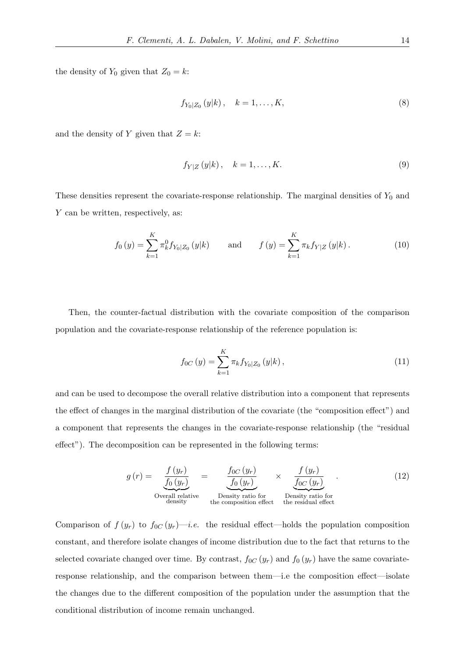the density of  $Y_0$  given that  $Z_0 = k$ :

$$
f_{Y_0|Z_0}(y|k), \quad k = 1, \dots, K,\tag{8}
$$

and the density of Y given that  $Z = k$ :

$$
f_{Y|Z}(y|k), \quad k = 1, \dots, K. \tag{9}
$$

These densities represent the covariate-response relationship. The marginal densities of  $Y_0$  and Y can be written, respectively, as:

$$
f_0(y) = \sum_{k=1}^{K} \pi_k^0 f_{Y_0|Z_0}(y|k) \quad \text{and} \quad f(y) = \sum_{k=1}^{K} \pi_k f_{Y|Z}(y|k).
$$
 (10)

Then, the counter-factual distribution with the covariate composition of the comparison population and the covariate-response relationship of the reference population is:

$$
f_{0C}(y) = \sum_{k=1}^{K} \pi_k f_{Y_0|Z_0}(y|k),
$$
\n(11)

and can be used to decompose the overall relative distribution into a component that represents the effect of changes in the marginal distribution of the covariate (the "composition effect") and a component that represents the changes in the covariate-response relationship (the "residual effect"). The decomposition can be represented in the following terms:

$$
g(r) = \underbrace{\frac{f(y_r)}{f_0(y_r)}}_{\text{Overall relative}} = \underbrace{\frac{f_{0C}(y_r)}{f_0(y_r)}}_{\text{Density ratio for}} \times \underbrace{\frac{f(y_r)}{f_{0C}(y_r)}}_{\text{Density ratio for}}.
$$
\n(12)

Comparison of  $f(y_r)$  to  $f_{0C}(y_r)$ —*i.e.* the residual effect—holds the population composition constant, and therefore isolate changes of income distribution due to the fact that returns to the selected covariate changed over time. By contrast,  $f_{0C}(y_r)$  and  $f_0(y_r)$  have the same covariateresponse relationship, and the comparison between them—i.e the composition effect—isolate the changes due to the different composition of the population under the assumption that the conditional distribution of income remain unchanged.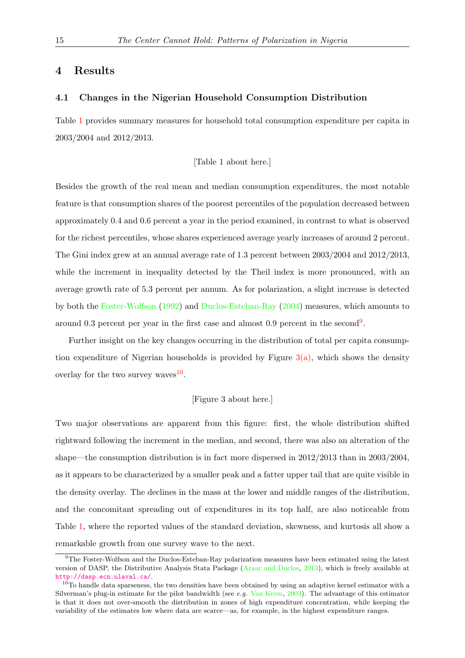# <span id="page-15-0"></span>4 Results

# 4.1 Changes in the Nigerian Household Consumption Distribution

Table [1](#page-33-0) provides summary measures for household total consumption expenditure per capita in 2003/2004 and 2012/2013.

#### [Table 1 about here.]

Besides the growth of the real mean and median consumption expenditures, the most notable feature is that consumption shares of the poorest percentiles of the population decreased between approximately 0.4 and 0.6 percent a year in the period examined, in contrast to what is observed for the richest percentiles, whose shares experienced average yearly increases of around 2 percent. The Gini index grew at an annual average rate of 1.3 percent between 2003/2004 and 2012/2013, while the increment in inequality detected by the Theil index is more pronounced, with an average growth rate of 5.3 percent per annum. As for polarization, a slight increase is detected by both the [Foster-Wolfson](#page-28-2) [\(1992\)](#page-28-2) and [Duclos-Esteban-Ray](#page-27-0) [\(2004\)](#page-27-0) measures, which amounts to around 0.3 percent per year in the first case and almost 0.[9](#page-15-1) percent in the second<sup>9</sup>.

Further insight on the key changes occurring in the distribution of total per capita consumption expenditure of Nigerian households is provided by Figure  $3(a)$  $3(a)$ , which shows the density overlay for the two survey waves $^{10}$  $^{10}$  $^{10}$ .

#### [Figure 3 about here.]

Two major observations are apparent from this figure: first, the whole distribution shifted rightward following the increment in the median, and second, there was also an alteration of the shape—the consumption distribution is in fact more dispersed in 2012/2013 than in 2003/2004, as it appears to be characterized by a smaller peak and a fatter upper tail that are quite visible in the density overlay. The declines in the mass at the lower and middle ranges of the distribution, and the concomitant spreading out of expenditures in its top half, are also noticeable from Table [1,](#page-33-0) where the reported values of the standard deviation, skewness, and kurtosis all show a remarkable growth from one survey wave to the next.

<span id="page-15-1"></span> $9$ The Foster-Wolfson and the Duclos-Esteban-Ray polarization measures have been estimated using the latest version of DASP, the Distributive Analysis Stata Package [\(Araar and Duclos,](#page-25-7) [2013\)](#page-25-7), which is freely available at <http://dasp.ecn.ulaval.ca/>.

<span id="page-15-2"></span><sup>&</sup>lt;sup>10</sup>To handle data sparseness, the two densities have been obtained by using an adaptive kernel estimator with a Silverman's plug-in estimate for the pilot bandwidth (see e.g. [Van Kerm,](#page-31-12) [2003\)](#page-31-12). The advantage of this estimator is that it does not over-smooth the distribution in zones of high expenditure concentration, while keeping the variability of the estimates low where data are scarce—as, for example, in the highest expenditure ranges.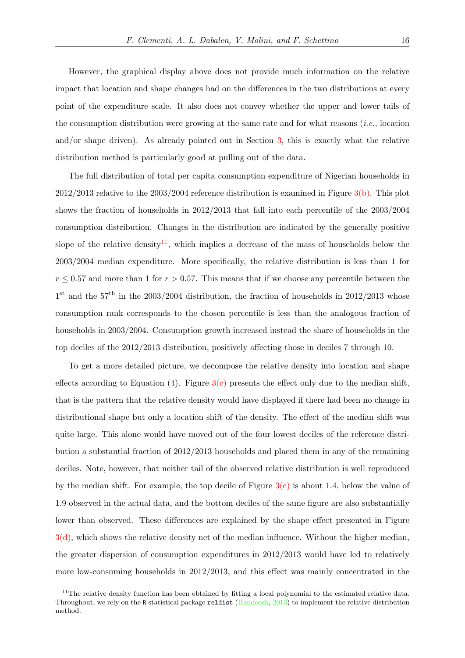However, the graphical display above does not provide much information on the relative impact that location and shape changes had on the differences in the two distributions at every point of the expenditure scale. It also does not convey whether the upper and lower tails of the consumption distribution were growing at the same rate and for what reasons (*i.e.*, location and/or shape driven). As already pointed out in Section [3,](#page-8-0) this is exactly what the relative distribution method is particularly good at pulling out of the data.

The full distribution of total per capita consumption expenditure of Nigerian households in 2012/2013 relative to the 2003/2004 reference distribution is examined in Figure [3](#page-40-0)[\(b\).](#page-40-2) This plot shows the fraction of households in 2012/2013 that fall into each percentile of the 2003/2004 consumption distribution. Changes in the distribution are indicated by the generally positive slope of the relative density<sup>[11](#page-16-0)</sup>, which implies a decrease of the mass of households below the 2003/2004 median expenditure. More specifically, the relative distribution is less than 1 for  $r \leq 0.57$  and more than 1 for  $r > 0.57$ . This means that if we choose any percentile between the  $1<sup>st</sup>$  and the  $57<sup>th</sup>$  in the 2003/2004 distribution, the fraction of households in 2012/2013 whose consumption rank corresponds to the chosen percentile is less than the analogous fraction of households in 2003/2004. Consumption growth increased instead the share of households in the top deciles of the 2012/2013 distribution, positively affecting those in deciles 7 through 10.

To get a more detailed picture, we decompose the relative density into location and shape effects according to Equation [\(4\)](#page-11-0). Figure  $3(c)$  $3(c)$  presents the effect only due to the median shift, that is the pattern that the relative density would have displayed if there had been no change in distributional shape but only a location shift of the density. The effect of the median shift was quite large. This alone would have moved out of the four lowest deciles of the reference distribution a substantial fraction of 2012/2013 households and placed them in any of the remaining deciles. Note, however, that neither tail of the observed relative distribution is well reproduced by the median shift. For example, the top decile of Figure  $3(c)$  $3(c)$  is about 1.4, below the value of 1.9 observed in the actual data, and the bottom deciles of the same figure are also substantially lower than observed. These differences are explained by the shape effect presented in Figure [3](#page-40-0)[\(d\),](#page-40-4) which shows the relative density net of the median influence. Without the higher median, the greater dispersion of consumption expenditures in 2012/2013 would have led to relatively more low-consuming households in 2012/2013, and this effect was mainly concentrated in the

<span id="page-16-0"></span> $11$ The relative density function has been obtained by fitting a local polynomial to the estimated relative data. Throughout, we rely on the R statistical package reldist [\(Handcock,](#page-28-9) [2013\)](#page-28-9) to implement the relative distribution method.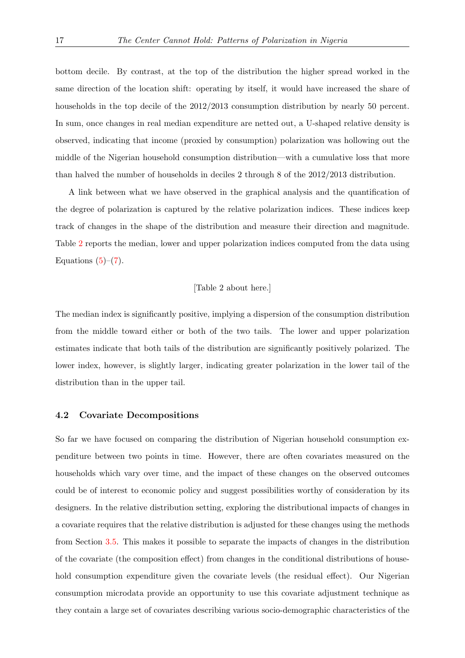bottom decile. By contrast, at the top of the distribution the higher spread worked in the same direction of the location shift: operating by itself, it would have increased the share of households in the top decile of the 2012/2013 consumption distribution by nearly 50 percent. In sum, once changes in real median expenditure are netted out, a U-shaped relative density is observed, indicating that income (proxied by consumption) polarization was hollowing out the middle of the Nigerian household consumption distribution—with a cumulative loss that more than halved the number of households in deciles 2 through 8 of the 2012/2013 distribution.

A link between what we have observed in the graphical analysis and the quantification of the degree of polarization is captured by the relative polarization indices. These indices keep track of changes in the shape of the distribution and measure their direction and magnitude. Table [2](#page-34-0) reports the median, lower and upper polarization indices computed from the data using Equations  $(5)-(7)$  $(5)-(7)$  $(5)-(7)$ .

### [Table 2 about here.]

The median index is significantly positive, implying a dispersion of the consumption distribution from the middle toward either or both of the two tails. The lower and upper polarization estimates indicate that both tails of the distribution are significantly positively polarized. The lower index, however, is slightly larger, indicating greater polarization in the lower tail of the distribution than in the upper tail.

## 4.2 Covariate Decompositions

So far we have focused on comparing the distribution of Nigerian household consumption expenditure between two points in time. However, there are often covariates measured on the households which vary over time, and the impact of these changes on the observed outcomes could be of interest to economic policy and suggest possibilities worthy of consideration by its designers. In the relative distribution setting, exploring the distributional impacts of changes in a covariate requires that the relative distribution is adjusted for these changes using the methods from Section [3.5.](#page-13-3) This makes it possible to separate the impacts of changes in the distribution of the covariate (the composition effect) from changes in the conditional distributions of household consumption expenditure given the covariate levels (the residual effect). Our Nigerian consumption microdata provide an opportunity to use this covariate adjustment technique as they contain a large set of covariates describing various socio-demographic characteristics of the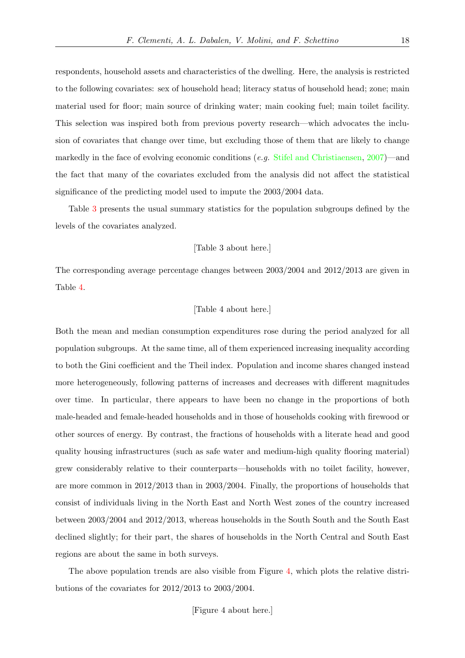respondents, household assets and characteristics of the dwelling. Here, the analysis is restricted to the following covariates: sex of household head; literacy status of household head; zone; main material used for floor; main source of drinking water; main cooking fuel; main toilet facility. This selection was inspired both from previous poverty research—which advocates the inclusion of covariates that change over time, but excluding those of them that are likely to change markedly in the face of evolving economic conditions (e.g. [Stifel and Christiaensen,](#page-31-2) [2007\)](#page-31-2)—and the fact that many of the covariates excluded from the analysis did not affect the statistical significance of the predicting model used to impute the 2003/2004 data.

Table [3](#page-35-0) presents the usual summary statistics for the population subgroups defined by the levels of the covariates analyzed.

## [Table 3 about here.]

The corresponding average percentage changes between 2003/2004 and 2012/2013 are given in Table [4.](#page-36-0)

## [Table 4 about here.]

Both the mean and median consumption expenditures rose during the period analyzed for all population subgroups. At the same time, all of them experienced increasing inequality according to both the Gini coefficient and the Theil index. Population and income shares changed instead more heterogeneously, following patterns of increases and decreases with different magnitudes over time. In particular, there appears to have been no change in the proportions of both male-headed and female-headed households and in those of households cooking with firewood or other sources of energy. By contrast, the fractions of households with a literate head and good quality housing infrastructures (such as safe water and medium-high quality flooring material) grew considerably relative to their counterparts—households with no toilet facility, however, are more common in 2012/2013 than in 2003/2004. Finally, the proportions of households that consist of individuals living in the North East and North West zones of the country increased between 2003/2004 and 2012/2013, whereas households in the South South and the South East declined slightly; for their part, the shares of households in the North Central and South East regions are about the same in both surveys.

The above population trends are also visible from Figure [4,](#page-41-0) which plots the relative distributions of the covariates for 2012/2013 to 2003/2004.

[Figure 4 about here.]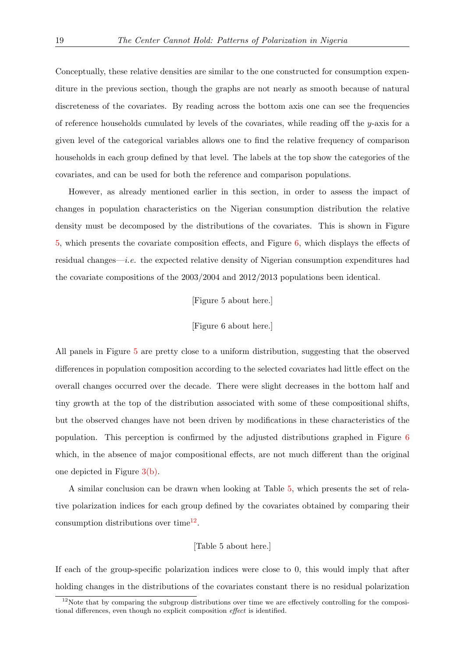Conceptually, these relative densities are similar to the one constructed for consumption expenditure in the previous section, though the graphs are not nearly as smooth because of natural discreteness of the covariates. By reading across the bottom axis one can see the frequencies of reference households cumulated by levels of the covariates, while reading off the  $y$ -axis for a given level of the categorical variables allows one to find the relative frequency of comparison households in each group defined by that level. The labels at the top show the categories of the covariates, and can be used for both the reference and comparison populations.

However, as already mentioned earlier in this section, in order to assess the impact of changes in population characteristics on the Nigerian consumption distribution the relative density must be decomposed by the distributions of the covariates. This is shown in Figure [5,](#page-42-0) which presents the covariate composition effects, and Figure [6,](#page-43-0) which displays the effects of residual changes—i.e. the expected relative density of Nigerian consumption expenditures had the covariate compositions of the 2003/2004 and 2012/2013 populations been identical.

[Figure 5 about here.]

#### [Figure 6 about here.]

All panels in Figure [5](#page-42-0) are pretty close to a uniform distribution, suggesting that the observed differences in population composition according to the selected covariates had little effect on the overall changes occurred over the decade. There were slight decreases in the bottom half and tiny growth at the top of the distribution associated with some of these compositional shifts, but the observed changes have not been driven by modifications in these characteristics of the population. This perception is confirmed by the adjusted distributions graphed in Figure [6](#page-43-0) which, in the absence of major compositional effects, are not much different than the original one depicted in Figure [3](#page-40-0)[\(b\).](#page-40-2)

A similar conclusion can be drawn when looking at Table [5,](#page-37-0) which presents the set of relative polarization indices for each group defined by the covariates obtained by comparing their consumption distributions over time<sup>[12](#page-19-0)</sup>.

### [Table 5 about here.]

If each of the group-specific polarization indices were close to 0, this would imply that after holding changes in the distributions of the covariates constant there is no residual polarization

<span id="page-19-0"></span> $12$ Note that by comparing the subgroup distributions over time we are effectively controlling for the compositional differences, even though no explicit composition effect is identified.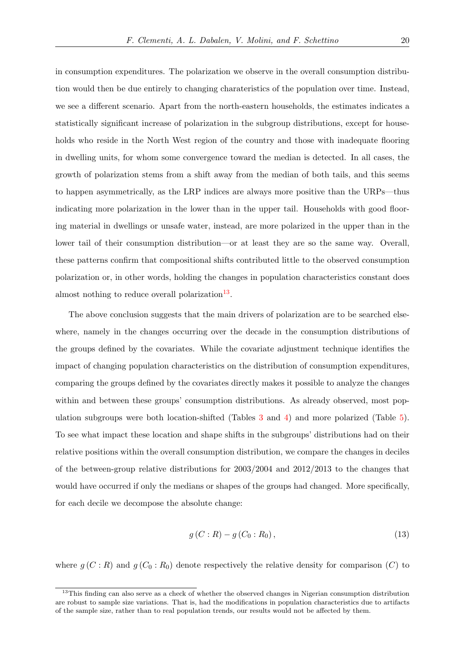in consumption expenditures. The polarization we observe in the overall consumption distribution would then be due entirely to changing charateristics of the population over time. Instead, we see a different scenario. Apart from the north-eastern households, the estimates indicates a statistically significant increase of polarization in the subgroup distributions, except for households who reside in the North West region of the country and those with inadequate flooring in dwelling units, for whom some convergence toward the median is detected. In all cases, the growth of polarization stems from a shift away from the median of both tails, and this seems to happen asymmetrically, as the LRP indices are always more positive than the URPs—thus indicating more polarization in the lower than in the upper tail. Households with good flooring material in dwellings or unsafe water, instead, are more polarized in the upper than in the lower tail of their consumption distribution—or at least they are so the same way. Overall, these patterns confirm that compositional shifts contributed little to the observed consumption polarization or, in other words, holding the changes in population characteristics constant does almost nothing to reduce overall polarization<sup>[13](#page-20-0)</sup>.

The above conclusion suggests that the main drivers of polarization are to be searched elsewhere, namely in the changes occurring over the decade in the consumption distributions of the groups defined by the covariates. While the covariate adjustment technique identifies the impact of changing population characteristics on the distribution of consumption expenditures, comparing the groups defined by the covariates directly makes it possible to analyze the changes within and between these groups' consumption distributions. As already observed, most population subgroups were both location-shifted (Tables  $3$  and  $4$ ) and more polarized (Table  $5$ ). To see what impact these location and shape shifts in the subgroups' distributions had on their relative positions within the overall consumption distribution, we compare the changes in deciles of the between-group relative distributions for  $2003/2004$  and  $2012/2013$  to the changes that would have occurred if only the medians or shapes of the groups had changed. More specifically, for each decile we decompose the absolute change:

<span id="page-20-1"></span>
$$
g(C:R) - g(C_0:R_0), \t\t(13)
$$

where  $q(C: R)$  and  $q(C_0: R_0)$  denote respectively the relative density for comparison  $(C)$  to

<span id="page-20-0"></span><sup>&</sup>lt;sup>13</sup>This finding can also serve as a check of whether the observed changes in Nigerian consumption distribution are robust to sample size variations. That is, had the modifications in population characteristics due to artifacts of the sample size, rather than to real population trends, our results would not be affected by them.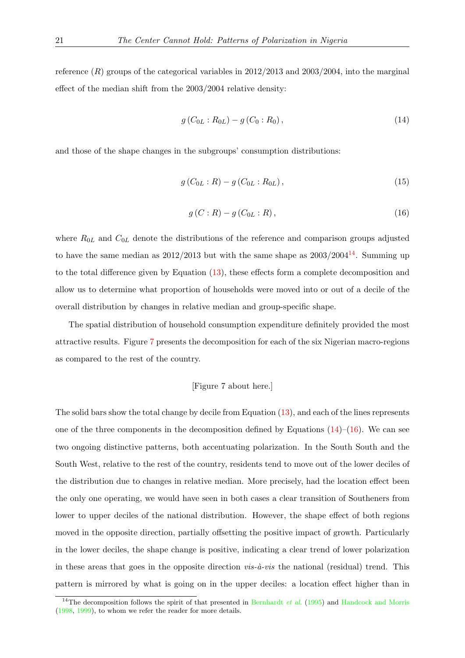reference  $(R)$  groups of the categorical variables in  $2012/2013$  and  $2003/2004$ , into the marginal effect of the median shift from the 2003/2004 relative density:

<span id="page-21-1"></span>
$$
g(C_{0L}: R_{0L}) - g(C_0: R_0), \qquad (14)
$$

and those of the shape changes in the subgroups' consumption distributions:

$$
g(C_{0L}:R) - g(C_{0L}:R_{0L}), \qquad (15)
$$

<span id="page-21-2"></span>
$$
g\left(C:R\right)-g\left(C_{0L}:R\right),\tag{16}
$$

where  $R_{0L}$  and  $C_{0L}$  denote the distributions of the reference and comparison groups adjusted to have the same median as  $2012/2013$  but with the same shape as  $2003/2004^{14}$  $2003/2004^{14}$  $2003/2004^{14}$ . Summing up to the total difference given by Equation [\(13\)](#page-20-1), these effects form a complete decomposition and allow us to determine what proportion of households were moved into or out of a decile of the overall distribution by changes in relative median and group-specific shape.

The spatial distribution of household consumption expenditure definitely provided the most attractive results. Figure [7](#page-44-0) presents the decomposition for each of the six Nigerian macro-regions as compared to the rest of the country.

## [Figure 7 about here.]

The solid bars show the total change by decile from Equation [\(13\)](#page-20-1), and each of the lines represents one of the three components in the decomposition defined by Equations  $(14)$ – $(16)$ . We can see two ongoing distinctive patterns, both accentuating polarization. In the South South and the South West, relative to the rest of the country, residents tend to move out of the lower deciles of the distribution due to changes in relative median. More precisely, had the location effect been the only one operating, we would have seen in both cases a clear transition of Southeners from lower to upper deciles of the national distribution. However, the shape effect of both regions moved in the opposite direction, partially offsetting the positive impact of growth. Particularly in the lower deciles, the shape change is positive, indicating a clear trend of lower polarization in these areas that goes in the opposite direction  $vis-\hat{a}-vis$  the national (residual) trend. This pattern is mirrored by what is going on in the upper deciles: a location effect higher than in

<span id="page-21-0"></span><sup>&</sup>lt;sup>14</sup>The decomposition follows the spirit of that presented in [Bernhardt](#page-26-9) *et al.* [\(1995\)](#page-26-9) and [Handcock and Morris](#page-28-0) [\(1998,](#page-28-0) [1999\)](#page-28-1), to whom we refer the reader for more details.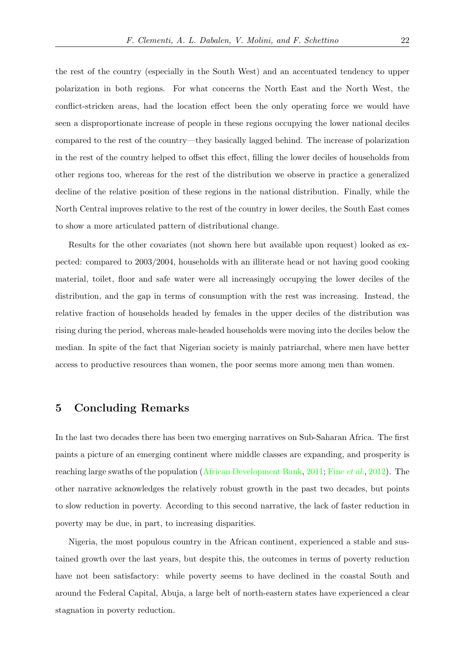the rest of the country (especially in the South West) and an accentuated tendency to upper polarization in both regions. For what concerns the North East and the North West, the conflict-stricken areas, had the location effect been the only operating force we would have seen a disproportionate increase of people in these regions occupying the lower national deciles compared to the rest of the country—they basically lagged behind. The increase of polarization in the rest of the country helped to offset this effect, filling the lower deciles of households from other regions too, whereas for the rest of the distribution we observe in practice a generalized decline of the relative position of these regions in the national distribution. Finally, while the North Central improves relative to the rest of the country in lower deciles, the South East comes to show a more articulated pattern of distributional change.

Results for the other covariates (not shown here but available upon request) looked as expected: compared to 2003/2004, households with an illiterate head or not having good cooking material, toilet, floor and safe water were all increasingly occupying the lower deciles of the distribution, and the gap in terms of consumption with the rest was increasing. Instead, the relative fraction of households headed by females in the upper deciles of the distribution was rising during the period, whereas male-headed households were moving into the deciles below the median. In spite of the fact that Nigerian society is mainly patriarchal, where men have better access to productive resources than women, the poor seems more among men than women.

# <span id="page-22-0"></span>5 Concluding Remarks

In the last two decades there has been two emerging narratives on Sub-Saharan Africa. The first paints a picture of an emerging continent where middle classes are expanding, and prosperity is reaching large swaths of the population [\(African Development Bank,](#page-24-3) [2011;](#page-24-3) Fine [et al.](#page-28-10), [2012\)](#page-28-10). The other narrative acknowledges the relatively robust growth in the past two decades, but points to slow reduction in poverty. According to this second narrative, the lack of faster reduction in poverty may be due, in part, to increasing disparities.

Nigeria, the most populous country in the African continent, experienced a stable and sustained growth over the last years, but despite this, the outcomes in terms of poverty reduction have not been satisfactory: while poverty seems to have declined in the coastal South and around the Federal Capital, Abuja, a large belt of north-eastern states have experienced a clear stagnation in poverty reduction.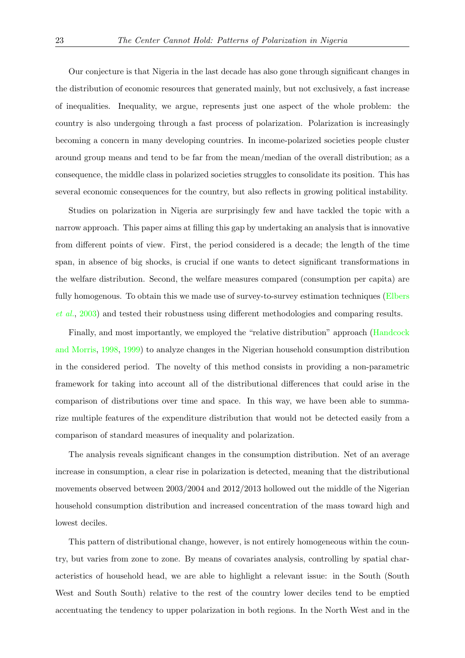Our conjecture is that Nigeria in the last decade has also gone through significant changes in the distribution of economic resources that generated mainly, but not exclusively, a fast increase of inequalities. Inequality, we argue, represents just one aspect of the whole problem: the country is also undergoing through a fast process of polarization. Polarization is increasingly becoming a concern in many developing countries. In income-polarized societies people cluster around group means and tend to be far from the mean/median of the overall distribution; as a consequence, the middle class in polarized societies struggles to consolidate its position. This has several economic consequences for the country, but also reflects in growing political instability.

Studies on polarization in Nigeria are surprisingly few and have tackled the topic with a narrow approach. This paper aims at filling this gap by undertaking an analysis that is innovative from different points of view. First, the period considered is a decade; the length of the time span, in absence of big shocks, is crucial if one wants to detect significant transformations in the welfare distribution. Second, the welfare measures compared (consumption per capita) are fully homogenous. To obtain this we made use of survey-to-survey estimation techniques [\(Elbers](#page-27-6) [et al.](#page-27-6), [2003\)](#page-27-6) and tested their robustness using different methodologies and comparing results.

Finally, and most importantly, we employed the "relative distribution" approach [\(Handcock](#page-28-0) [and Morris,](#page-28-0) [1998,](#page-28-0) [1999\)](#page-28-1) to analyze changes in the Nigerian household consumption distribution in the considered period. The novelty of this method consists in providing a non-parametric framework for taking into account all of the distributional differences that could arise in the comparison of distributions over time and space. In this way, we have been able to summarize multiple features of the expenditure distribution that would not be detected easily from a comparison of standard measures of inequality and polarization.

The analysis reveals significant changes in the consumption distribution. Net of an average increase in consumption, a clear rise in polarization is detected, meaning that the distributional movements observed between 2003/2004 and 2012/2013 hollowed out the middle of the Nigerian household consumption distribution and increased concentration of the mass toward high and lowest deciles.

This pattern of distributional change, however, is not entirely homogeneous within the country, but varies from zone to zone. By means of covariates analysis, controlling by spatial characteristics of household head, we are able to highlight a relevant issue: in the South (South West and South South) relative to the rest of the country lower deciles tend to be emptied accentuating the tendency to upper polarization in both regions. In the North West and in the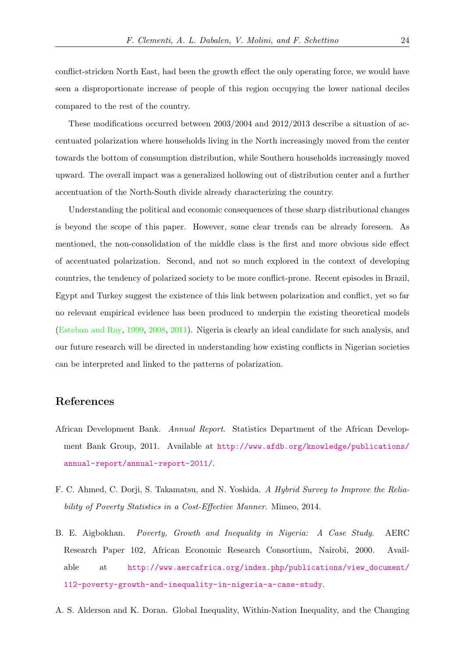conflict-stricken North East, had been the growth effect the only operating force, we would have seen a disproportionate increase of people of this region occupying the lower national deciles compared to the rest of the country.

These modifications occurred between 2003/2004 and 2012/2013 describe a situation of accentuated polarization where households living in the North increasingly moved from the center towards the bottom of consumption distribution, while Southern households increasingly moved upward. The overall impact was a generalized hollowing out of distribution center and a further accentuation of the North-South divide already characterizing the country.

Understanding the political and economic consequences of these sharp distributional changes is beyond the scope of this paper. However, some clear trends can be already foreseen. As mentioned, the non-consolidation of the middle class is the first and more obvious side effect of accentuated polarization. Second, and not so much explored in the context of developing countries, the tendency of polarized society to be more conflict-prone. Recent episodes in Brazil, Egypt and Turkey suggest the existence of this link between polarization and conflict, yet so far no relevant empirical evidence has been produced to underpin the existing theoretical models [\(Esteban and Ray,](#page-27-1) [1999,](#page-27-1) [2008,](#page-27-2) [2011\)](#page-27-3). Nigeria is clearly an ideal candidate for such analysis, and our future research will be directed in understanding how existing conflicts in Nigerian societies can be interpreted and linked to the patterns of polarization.

# References

- <span id="page-24-3"></span>African Development Bank. Annual Report. Statistics Department of the African Development Bank Group, 2011. Available at [http://www.afdb.org/knowledge/publications/](http://www.afdb.org/knowledge/publications/annual-report/annual-report-2011/) [annual-report/annual-report-2011/](http://www.afdb.org/knowledge/publications/annual-report/annual-report-2011/).
- <span id="page-24-1"></span>F. C. Ahmed, C. Dorji, S. Takamatsu, and N. Yoshida. A Hybrid Survey to Improve the Reliability of Poverty Statistics in a Cost-Effective Manner. Mimeo, 2014.
- <span id="page-24-0"></span>B. E. Aigbokhan. Poverty, Growth and Inequality in Nigeria: A Case Study. AERC Research Paper 102, African Economic Research Consortium, Nairobi, 2000. Available at [http://www.aercafrica.org/index.php/publications/view\\_document/](http://www.aercafrica.org/index.php/publications/view_document/112-poverty-growth-and-inequality-in-nigeria-a-case-study) [112-poverty-growth-and-inequality-in-nigeria-a-case-study](http://www.aercafrica.org/index.php/publications/view_document/112-poverty-growth-and-inequality-in-nigeria-a-case-study).
- <span id="page-24-2"></span>A. S. Alderson and K. Doran. Global Inequality, Within-Nation Inequality, and the Changing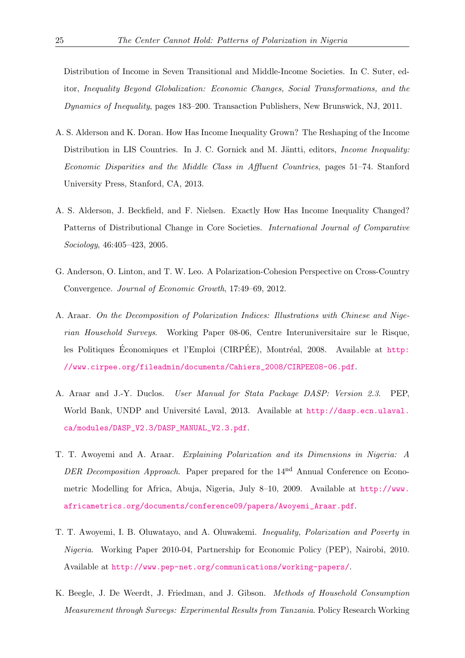Distribution of Income in Seven Transitional and Middle-Income Societies. In C. Suter, editor, Inequality Beyond Globalization: Economic Changes, Social Transformations, and the Dynamics of Inequality, pages 183–200. Transaction Publishers, New Brunswick, NJ, 2011.

- <span id="page-25-6"></span>A. S. Alderson and K. Doran. How Has Income Inequality Grown? The Reshaping of the Income Distribution in LIS Countries. In J. C. Gornick and M. Jäntti, editors, Income Inequality: Economic Disparities and the Middle Class in Affluent Countries, pages 51–74. Stanford University Press, Stanford, CA, 2013.
- <span id="page-25-5"></span>A. S. Alderson, J. Beckfield, and F. Nielsen. Exactly How Has Income Inequality Changed? Patterns of Distributional Change in Core Societies. International Journal of Comparative Sociology, 46:405–423, 2005.
- <span id="page-25-4"></span>G. Anderson, O. Linton, and T. W. Leo. A Polarization-Cohesion Perspective on Cross-Country Convergence. Journal of Economic Growth, 17:49–69, 2012.
- <span id="page-25-0"></span>A. Araar. On the Decomposition of Polarization Indices: Illustrations with Chinese and Nigerian Household Surveys. Working Paper 08-06, Centre Interuniversitaire sur le Risque, les Politiques Économiques et l'Emploi (CIRPÉE), Montréal, 2008. Available at [http:](http://www.cirpee.org/fileadmin/documents/Cahiers_2008/CIRPEE08-06.pdf) [//www.cirpee.org/fileadmin/documents/Cahiers\\_2008/CIRPEE08-06.pdf](http://www.cirpee.org/fileadmin/documents/Cahiers_2008/CIRPEE08-06.pdf).
- <span id="page-25-7"></span>A. Araar and J.-Y. Duclos. User Manual for Stata Package DASP: Version 2.3. PEP, World Bank, UNDP and Université Laval, 2013. Available at [http://dasp.ecn.ulaval.](http://dasp.ecn.ulaval.ca/modules/DASP_V2.3/DASP_MANUAL_V2.3.pdf) [ca/modules/DASP\\_V2.3/DASP\\_MANUAL\\_V2.3.pdf](http://dasp.ecn.ulaval.ca/modules/DASP_V2.3/DASP_MANUAL_V2.3.pdf).
- <span id="page-25-1"></span>T. T. Awoyemi and A. Araar. Explaining Polarization and its Dimensions in Nigeria: A DER Decomposition Approach. Paper prepared for the  $14<sup>nd</sup>$  Annual Conference on Econometric Modelling for Africa, Abuja, Nigeria, July 8–10, 2009. Available at [http://www.](http://www.africametrics.org/documents/conference09/papers/Awoyemi_Araar.pdf) [africametrics.org/documents/conference09/papers/Awoyemi\\_Araar.pdf](http://www.africametrics.org/documents/conference09/papers/Awoyemi_Araar.pdf).
- <span id="page-25-2"></span>T. T. Awoyemi, I. B. Oluwatayo, and A. Oluwakemi. Inequality, Polarization and Poverty in Nigeria. Working Paper 2010-04, Partnership for Economic Policy (PEP), Nairobi, 2010. Available at <http://www.pep-net.org/communications/working-papers/>.
- <span id="page-25-3"></span>K. Beegle, J. De Weerdt, J. Friedman, and J. Gibson. Methods of Household Consumption Measurement through Surveys: Experimental Results from Tanzania. Policy Research Working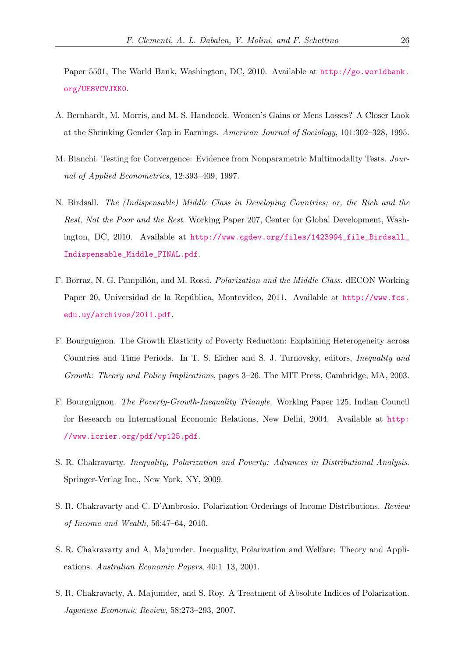Paper 5501, The World Bank, Washington, DC, 2010. Available at [http://go.worldbank.](http://go.worldbank.org/UE8VCVJXK0) [org/UE8VCVJXK0](http://go.worldbank.org/UE8VCVJXK0).

- <span id="page-26-9"></span>A. Bernhardt, M. Morris, and M. S. Handcock. Women's Gains or Mens Losses? A Closer Look at the Shrinking Gender Gap in Earnings. American Journal of Sociology, 101:302–328, 1995.
- <span id="page-26-5"></span>M. Bianchi. Testing for Convergence: Evidence from Nonparametric Multimodality Tests. Journal of Applied Econometrics, 12:393–409, 1997.
- <span id="page-26-0"></span>N. Birdsall. The (Indispensable) Middle Class in Developing Countries; or, the Rich and the Rest, Not the Poor and the Rest. Working Paper 207, Center for Global Development, Washington, DC, 2010. Available at [http://www.cgdev.org/files/1423994\\_file\\_Birdsall\\_](http://www.cgdev.org/files/1423994_file_Birdsall_Indispensable_Middle_FINAL.pdf) [Indispensable\\_Middle\\_FINAL.pdf](http://www.cgdev.org/files/1423994_file_Birdsall_Indispensable_Middle_FINAL.pdf).
- <span id="page-26-6"></span>F. Borraz, N. G. Pampillón, and M. Rossi. *Polarization and the Middle Class.* dECON Working Paper 20, Universidad de la República, Montevideo, 2011. Available at [http://www.fcs.](http://www.fcs.edu.uy/archivos/2011.pdf) [edu.uy/archivos/2011.pdf](http://www.fcs.edu.uy/archivos/2011.pdf).
- <span id="page-26-7"></span>F. Bourguignon. The Growth Elasticity of Poverty Reduction: Explaining Heterogeneity across Countries and Time Periods. In T. S. Eicher and S. J. Turnovsky, editors, Inequality and Growth: Theory and Policy Implications, pages 3–26. The MIT Press, Cambridge, MA, 2003.
- <span id="page-26-8"></span>F. Bourguignon. The Poverty-Growth-Inequality Triangle. Working Paper 125, Indian Council for Research on International Economic Relations, New Delhi, 2004. Available at [http:](http://www.icrier.org/pdf/wp125.pdf) [//www.icrier.org/pdf/wp125.pdf](http://www.icrier.org/pdf/wp125.pdf).
- <span id="page-26-3"></span>S. R. Chakravarty. Inequality, Polarization and Poverty: Advances in Distributional Analysis. Springer-Verlag Inc., New York, NY, 2009.
- <span id="page-26-4"></span>S. R. Chakravarty and C. D'Ambrosio. Polarization Orderings of Income Distributions. Review of Income and Wealth, 56:47–64, 2010.
- <span id="page-26-1"></span>S. R. Chakravarty and A. Majumder. Inequality, Polarization and Welfare: Theory and Applications. Australian Economic Papers, 40:1–13, 2001.
- <span id="page-26-2"></span>S. R. Chakravarty, A. Majumder, and S. Roy. A Treatment of Absolute Indices of Polarization. Japanese Economic Review, 58:273–293, 2007.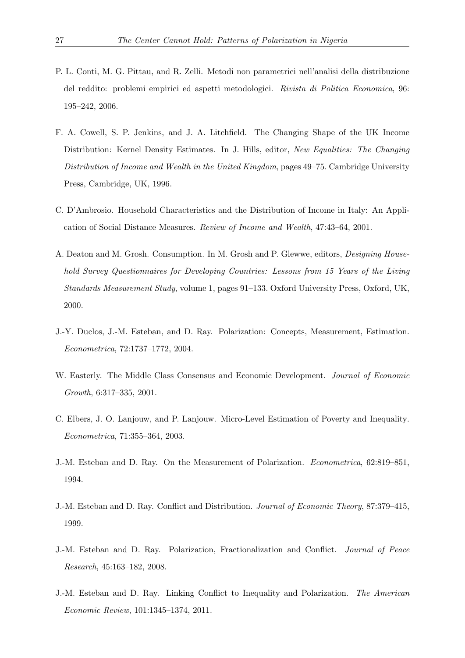- <span id="page-27-9"></span>P. L. Conti, M. G. Pittau, and R. Zelli. Metodi non parametrici nell'analisi della distribuzione del reddito: problemi empirici ed aspetti metodologici. Rivista di Politica Economica, 96: 195–242, 2006.
- <span id="page-27-10"></span>F. A. Cowell, S. P. Jenkins, and J. A. Litchfield. The Changing Shape of the UK Income Distribution: Kernel Density Estimates. In J. Hills, editor, New Equalities: The Changing Distribution of Income and Wealth in the United Kingdom, pages 49–75. Cambridge University Press, Cambridge, UK, 1996.
- <span id="page-27-8"></span>C. D'Ambrosio. Household Characteristics and the Distribution of Income in Italy: An Application of Social Distance Measures. Review of Income and Wealth, 47:43–64, 2001.
- <span id="page-27-5"></span>A. Deaton and M. Grosh. Consumption. In M. Grosh and P. Glewwe, editors, Designing Household Survey Questionnaires for Developing Countries: Lessons from 15 Years of the Living Standards Measurement Study, volume 1, pages 91–133. Oxford University Press, Oxford, UK, 2000.
- <span id="page-27-0"></span>J.-Y. Duclos, J.-M. Esteban, and D. Ray. Polarization: Concepts, Measurement, Estimation. Econometrica, 72:1737–1772, 2004.
- <span id="page-27-4"></span>W. Easterly. The Middle Class Consensus and Economic Development. Journal of Economic Growth, 6:317–335, 2001.
- <span id="page-27-6"></span>C. Elbers, J. O. Lanjouw, and P. Lanjouw. Micro-Level Estimation of Poverty and Inequality. Econometrica, 71:355–364, 2003.
- <span id="page-27-7"></span>J.-M. Esteban and D. Ray. On the Measurement of Polarization. Econometrica, 62:819–851, 1994.
- <span id="page-27-1"></span>J.-M. Esteban and D. Ray. Conflict and Distribution. Journal of Economic Theory, 87:379–415, 1999.
- <span id="page-27-2"></span>J.-M. Esteban and D. Ray. Polarization, Fractionalization and Conflict. Journal of Peace Research, 45:163–182, 2008.
- <span id="page-27-3"></span>J.-M. Esteban and D. Ray. Linking Conflict to Inequality and Polarization. The American Economic Review, 101:1345–1374, 2011.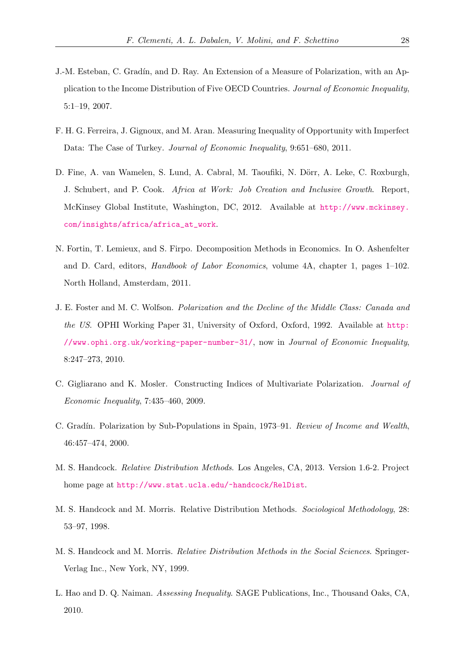- <span id="page-28-5"></span>J.-M. Esteban, C. Grad´ın, and D. Ray. An Extension of a Measure of Polarization, with an Application to the Income Distribution of Five OECD Countries. Journal of Economic Inequality, 5:1–19, 2007.
- <span id="page-28-3"></span>F. H. G. Ferreira, J. Gignoux, and M. Aran. Measuring Inequality of Opportunity with Imperfect Data: The Case of Turkey. Journal of Economic Inequality, 9:651–680, 2011.
- <span id="page-28-10"></span>D. Fine, A. van Wamelen, S. Lund, A. Cabral, M. Taoufiki, N. Dörr, A. Leke, C. Roxburgh, J. Schubert, and P. Cook. Africa at Work: Job Creation and Inclusive Growth. Report, McKinsey Global Institute, Washington, DC, 2012. Available at [http://www.mckinsey.](http://www.mckinsey.com/insights/africa/africa_at_work) [com/insights/africa/africa\\_at\\_work](http://www.mckinsey.com/insights/africa/africa_at_work).
- <span id="page-28-8"></span>N. Fortin, T. Lemieux, and S. Firpo. Decomposition Methods in Economics. In O. Ashenfelter and D. Card, editors, Handbook of Labor Economics, volume 4A, chapter 1, pages 1–102. North Holland, Amsterdam, 2011.
- <span id="page-28-2"></span>J. E. Foster and M. C. Wolfson. Polarization and the Decline of the Middle Class: Canada and the US. OPHI Working Paper 31, University of Oxford, Oxford, 1992. Available at [http:](http://www.ophi.org.uk/working-paper-number-31/) [//www.ophi.org.uk/working-paper-number-31/](http://www.ophi.org.uk/working-paper-number-31/), now in Journal of Economic Inequality, 8:247–273, 2010.
- <span id="page-28-6"></span>C. Gigliarano and K. Mosler. Constructing Indices of Multivariate Polarization. Journal of Economic Inequality, 7:435–460, 2009.
- <span id="page-28-4"></span>C. Gradín. Polarization by Sub-Populations in Spain, 1973–91. Review of Income and Wealth, 46:457–474, 2000.
- <span id="page-28-9"></span>M. S. Handcock. Relative Distribution Methods. Los Angeles, CA, 2013. Version 1.6-2. Project home page at <http://www.stat.ucla.edu/~handcock/RelDist>.
- <span id="page-28-0"></span>M. S. Handcock and M. Morris. Relative Distribution Methods. Sociological Methodology, 28: 53–97, 1998.
- <span id="page-28-1"></span>M. S. Handcock and M. Morris. Relative Distribution Methods in the Social Sciences. Springer-Verlag Inc., New York, NY, 1999.
- <span id="page-28-7"></span>L. Hao and D. Q. Naiman. Assessing Inequality. SAGE Publications, Inc., Thousand Oaks, CA, 2010.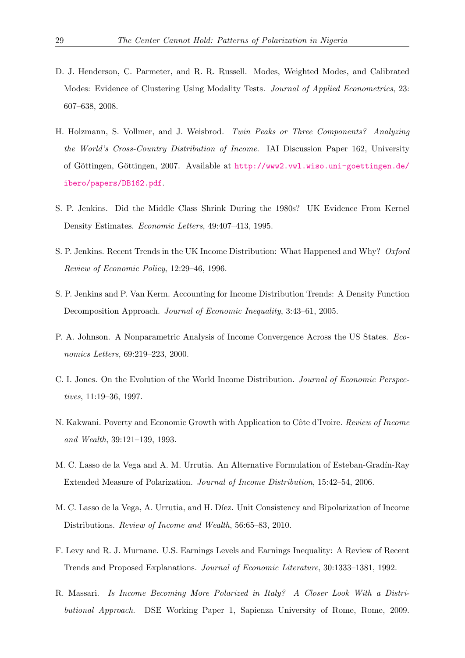- <span id="page-29-8"></span>D. J. Henderson, C. Parmeter, and R. R. Russell. Modes, Weighted Modes, and Calibrated Modes: Evidence of Clustering Using Modality Tests. Journal of Applied Econometrics, 23: 607–638, 2008.
- <span id="page-29-7"></span>H. Holzmann, S. Vollmer, and J. Weisbrod. Twin Peaks or Three Components? Analyzing the World's Cross-Country Distribution of Income. IAI Discussion Paper 162, University of Göttingen, Göttingen, 2007. Available at [http://www2.vwl.wiso.uni-goettingen.de/](http://www2.vwl.wiso.uni-goettingen.de/ibero/papers/DB162.pdf) [ibero/papers/DB162.pdf](http://www2.vwl.wiso.uni-goettingen.de/ibero/papers/DB162.pdf).
- <span id="page-29-3"></span>S. P. Jenkins. Did the Middle Class Shrink During the 1980s? UK Evidence From Kernel Density Estimates. Economic Letters, 49:407–413, 1995.
- <span id="page-29-4"></span>S. P. Jenkins. Recent Trends in the UK Income Distribution: What Happened and Why? Oxford Review of Economic Policy, 12:29–46, 1996.
- <span id="page-29-11"></span>S. P. Jenkins and P. Van Kerm. Accounting for Income Distribution Trends: A Density Function Decomposition Approach. Journal of Economic Inequality, 3:43–61, 2005.
- <span id="page-29-6"></span>P. A. Johnson. A Nonparametric Analysis of Income Convergence Across the US States. Economics Letters, 69:219–223, 2000.
- <span id="page-29-5"></span>C. I. Jones. On the Evolution of the World Income Distribution. Journal of Economic Perspectives, 11:19–36, 1997.
- <span id="page-29-10"></span>N. Kakwani. Poverty and Economic Growth with Application to Côte d'Ivoire. Review of Income and Wealth, 39:121–139, 1993.
- <span id="page-29-2"></span>M. C. Lasso de la Vega and A. M. Urrutia. An Alternative Formulation of Esteban-Gradín-Ray Extended Measure of Polarization. Journal of Income Distribution, 15:42–54, 2006.
- <span id="page-29-1"></span>M. C. Lasso de la Vega, A. Urrutia, and H. Díez. Unit Consistency and Bipolarization of Income Distributions. Review of Income and Wealth, 56:65–83, 2010.
- <span id="page-29-0"></span>F. Levy and R. J. Murnane. U.S. Earnings Levels and Earnings Inequality: A Review of Recent Trends and Proposed Explanations. Journal of Economic Literature, 30:1333–1381, 1992.
- <span id="page-29-9"></span>R. Massari. Is Income Becoming More Polarized in Italy? A Closer Look With a Distributional Approach. DSE Working Paper 1, Sapienza University of Rome, Rome, 2009.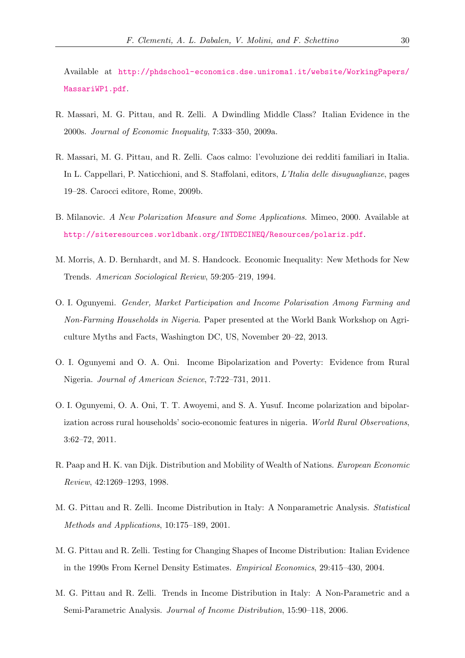Available at [http://phdschool-economics.dse.uniroma1.it/website/WorkingPapers/](http://phdschool-economics.dse.uniroma1.it/website/WorkingPapers/MassariWP1.pdf) [MassariWP1.pdf](http://phdschool-economics.dse.uniroma1.it/website/WorkingPapers/MassariWP1.pdf).

- <span id="page-30-8"></span>R. Massari, M. G. Pittau, and R. Zelli. A Dwindling Middle Class? Italian Evidence in the 2000s. Journal of Economic Inequality, 7:333–350, 2009a.
- <span id="page-30-9"></span>R. Massari, M. G. Pittau, and R. Zelli. Caos calmo: l'evoluzione dei redditi familiari in Italia. In L. Cappellari, P. Naticchioni, and S. Staffolani, editors, L'Italia delle disuguaglianze, pages 19–28. Carocci editore, Rome, 2009b.
- <span id="page-30-3"></span>B. Milanovic. A New Polarization Measure and Some Applications. Mimeo, 2000. Available at <http://siteresources.worldbank.org/INTDECINEQ/Resources/polariz.pdf>.
- <span id="page-30-10"></span>M. Morris, A. D. Bernhardt, and M. S. Handcock. Economic Inequality: New Methods for New Trends. American Sociological Review, 59:205–219, 1994.
- <span id="page-30-2"></span>O. I. Ogunyemi. Gender, Market Participation and Income Polarisation Among Farming and Non-Farming Households in Nigeria. Paper presented at the World Bank Workshop on Agriculture Myths and Facts, Washington DC, US, November 20–22, 2013.
- <span id="page-30-0"></span>O. I. Ogunyemi and O. A. Oni. Income Bipolarization and Poverty: Evidence from Rural Nigeria. Journal of American Science, 7:722–731, 2011.
- <span id="page-30-1"></span>O. I. Ogunyemi, O. A. Oni, T. T. Awoyemi, and S. A. Yusuf. Income polarization and bipolarization across rural households' socio-economic features in nigeria. World Rural Observations, 3:62–72, 2011.
- <span id="page-30-7"></span>R. Paap and H. K. van Dijk. Distribution and Mobility of Wealth of Nations. European Economic Review, 42:1269–1293, 1998.
- <span id="page-30-4"></span>M. G. Pittau and R. Zelli. Income Distribution in Italy: A Nonparametric Analysis. Statistical Methods and Applications, 10:175–189, 2001.
- <span id="page-30-5"></span>M. G. Pittau and R. Zelli. Testing for Changing Shapes of Income Distribution: Italian Evidence in the 1990s From Kernel Density Estimates. Empirical Economics, 29:415–430, 2004.
- <span id="page-30-6"></span>M. G. Pittau and R. Zelli. Trends in Income Distribution in Italy: A Non-Parametric and a Semi-Parametric Analysis. Journal of Income Distribution, 15:90–118, 2006.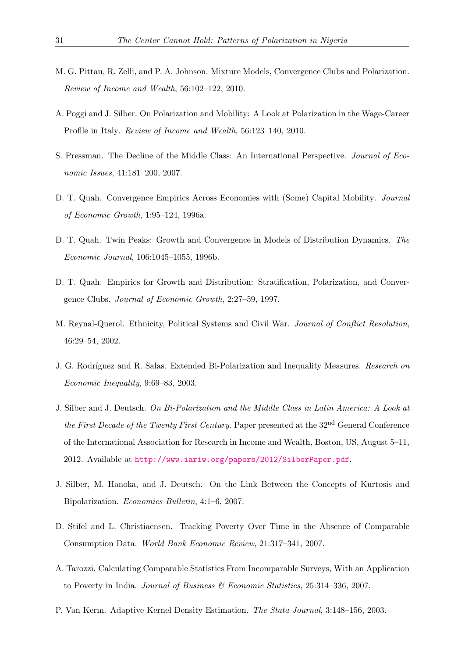- <span id="page-31-10"></span>M. G. Pittau, R. Zelli, and P. A. Johnson. Mixture Models, Convergence Clubs and Polarization. Review of Income and Wealth, 56:102–122, 2010.
- <span id="page-31-6"></span>A. Poggi and J. Silber. On Polarization and Mobility: A Look at Polarization in the Wage-Career Profile in Italy. Review of Income and Wealth, 56:123–140, 2010.
- <span id="page-31-0"></span>S. Pressman. The Decline of the Middle Class: An International Perspective. Journal of Economic Issues, 41:181–200, 2007.
- <span id="page-31-7"></span>D. T. Quah. Convergence Empirics Across Economies with (Some) Capital Mobility. Journal of Economic Growth, 1:95–124, 1996a.
- <span id="page-31-8"></span>D. T. Quah. Twin Peaks: Growth and Convergence in Models of Distribution Dynamics. The Economic Journal, 106:1045–1055, 1996b.
- <span id="page-31-9"></span>D. T. Quah. Empirics for Growth and Distribution: Stratification, Polarization, and Convergence Clubs. Journal of Economic Growth, 2:27–59, 1997.
- <span id="page-31-5"></span>M. Reynal-Querol. Ethnicity, Political Systems and Civil War. Journal of Conflict Resolution, 46:29–54, 2002.
- <span id="page-31-3"></span>J. G. Rodríguez and R. Salas. Extended Bi-Polarization and Inequality Measures. Research on Economic Inequality, 9:69–83, 2003.
- <span id="page-31-11"></span>J. Silber and J. Deutsch. On Bi-Polarization and the Middle Class in Latin America: A Look at the First Decade of the Twenty First Century. Paper presented at the 32<sup>nd</sup> General Conference of the International Association for Research in Income and Wealth, Boston, US, August 5–11, 2012. Available at <http://www.iariw.org/papers/2012/SilberPaper.pdf>.
- <span id="page-31-4"></span>J. Silber, M. Hanoka, and J. Deutsch. On the Link Between the Concepts of Kurtosis and Bipolarization. Economics Bulletin, 4:1–6, 2007.
- <span id="page-31-2"></span>D. Stifel and L. Christiaensen. Tracking Poverty Over Time in the Absence of Comparable Consumption Data. World Bank Economic Review, 21:317–341, 2007.
- <span id="page-31-1"></span>A. Tarozzi. Calculating Comparable Statistics From Incomparable Surveys, With an Application to Poverty in India. Journal of Business & Economic Statistics, 25:314-336, 2007.
- <span id="page-31-12"></span>P. Van Kerm. Adaptive Kernel Density Estimation. The Stata Journal, 3:148–156, 2003.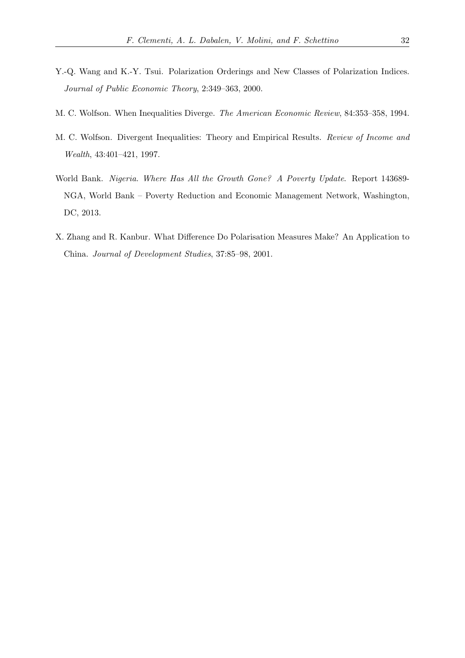- <span id="page-32-3"></span>Y.-Q. Wang and K.-Y. Tsui. Polarization Orderings and New Classes of Polarization Indices. Journal of Public Economic Theory, 2:349–363, 2000.
- <span id="page-32-1"></span>M. C. Wolfson. When Inequalities Diverge. The American Economic Review, 84:353–358, 1994.
- <span id="page-32-2"></span>M. C. Wolfson. Divergent Inequalities: Theory and Empirical Results. Review of Income and Wealth, 43:401–421, 1997.
- <span id="page-32-0"></span>World Bank. Nigeria. Where Has All the Growth Gone? A Poverty Update. Report 143689- NGA, World Bank – Poverty Reduction and Economic Management Network, Washington, DC, 2013.
- <span id="page-32-4"></span>X. Zhang and R. Kanbur. What Difference Do Polarisation Measures Make? An Application to China. Journal of Development Studies, 37:85–98, 2001.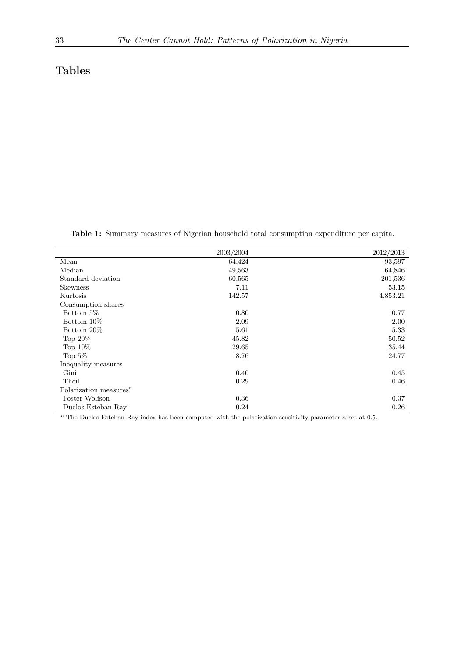# Tables

<span id="page-33-0"></span>Table 1: Summary measures of Nigerian household total consumption expenditure per capita.

|                                    | 2003/2004 | 2012/2013 |
|------------------------------------|-----------|-----------|
| Mean                               | 64,424    | 93,597    |
| Median                             | 49,563    | 64,846    |
| Standard deviation                 | 60,565    | 201,536   |
| <b>Skewness</b>                    | 7.11      | 53.15     |
| Kurtosis                           | 142.57    | 4,853.21  |
| Consumption shares                 |           |           |
| Bottom 5\%                         | 0.80      | 0.77      |
| Bottom 10\%                        | 2.09      | 2.00      |
| Bottom 20\%                        | 5.61      | 5.33      |
| Top 20%                            | 45.82     | 50.52     |
| Top 10%                            | 29.65     | 35.44     |
| Top $5\%$                          | 18.76     | 24.77     |
| Inequality measures                |           |           |
| Gini                               | 0.40      | 0.45      |
| Theil                              | 0.29      | 0.46      |
| Polarization measures <sup>a</sup> |           |           |
| Foster-Wolfson                     | 0.36      | 0.37      |
| Duclos-Esteban-Ray                 | 0.24      | 0.26      |

<sup>a</sup> The Duclos-Esteban-Ray index has been computed with the polarization sensitivity parameter  $\alpha$  set at 0.5.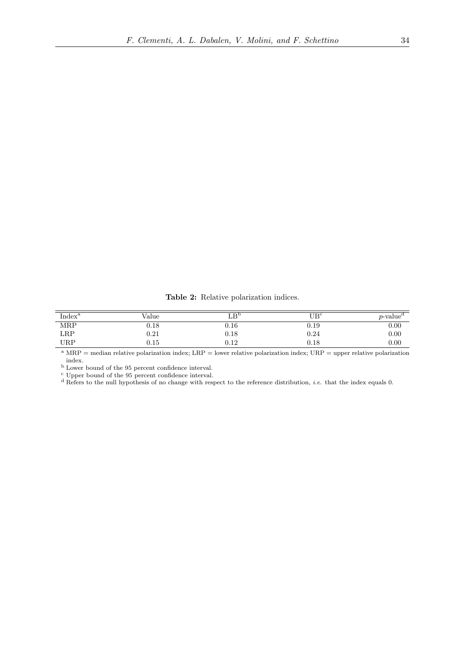Table 2: Relative polarization indices.

<span id="page-34-0"></span>

| Index <sup>a</sup> | Value     | $LB^b$     | UB <sup>c</sup> | $p$ -value |
|--------------------|-----------|------------|-----------------|------------|
| <b>MRP</b>         | $_{0.18}$ | 0.16       | 0.19            | 0.00       |
| ${\rm LRP}$        | 0.21      | 0.18       | $\rm 0.24$      | 0.00       |
| <b>URP</b>         | 0.15      | $\rm 0.12$ | 0.18            | 0.00       |

<sup>a</sup> MRP = median relative polarization index; LRP = lower relative polarization index; URP = upper relative polarization index.

<sup>b</sup> Lower bound of the 95 percent confidence interval.

<sup>c</sup> Upper bound of the 95 percent confidence interval.

<sup>d</sup> Refers to the null hypothesis of no change with respect to the reference distribution, *i.e.* that the index equals 0.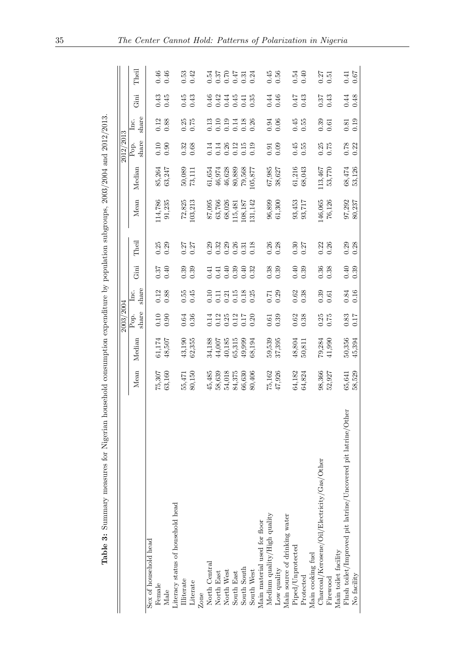|                                                               |          |        | 2003/2004                                                                       |                                             |          |                            |                      |                         | 2012/2013                               |                                      |                         |                                      |
|---------------------------------------------------------------|----------|--------|---------------------------------------------------------------------------------|---------------------------------------------|----------|----------------------------|----------------------|-------------------------|-----------------------------------------|--------------------------------------|-------------------------|--------------------------------------|
|                                                               | Mean     | Median | Pop.<br>share                                                                   | share<br>Inc.                               | Gini     | Theil                      | Mean                 | Median                  | $_{\rm share}$<br>Pop.                  | share<br>غط.<br>ا                    | Gini                    | Theil                                |
| Sex of household head                                         |          |        |                                                                                 |                                             |          |                            |                      |                         |                                         |                                      |                         |                                      |
| Female                                                        | 75,307   | 61,174 | 0.10                                                                            | 0.12                                        | 0.37     | $0.25$<br>$0.29$           | 114,786              | 85,264                  | 0.10                                    | 0.12                                 | 0.43                    | $0.46$                               |
| Male                                                          | 63,160   | 48,507 | 0.90                                                                            | 0.88                                        | 0.40     |                            | 91,235               | 63,247                  | 0.90                                    | 0.88                                 | 0.45                    | $0.46\,$                             |
| Literacy status of household head                             |          |        |                                                                                 |                                             |          |                            |                      |                         |                                         |                                      |                         |                                      |
| Illiterate                                                    | 55,471   | 43,190 | $0.64\,$                                                                        | 0.55                                        | 0.39     | 0.27                       | 72,825               |                         | 0.32                                    | 0.25                                 |                         | $0.53\,$                             |
| Literate                                                      | 80,150   | 62,355 | 0.36                                                                            | 0.45                                        | 0.39     | 0.27                       | 103,213              | $\frac{50,089}{73,111}$ | 0.68                                    | 0.75                                 | $0.45$<br>$0.43$        | 0.42                                 |
| Zone                                                          |          |        |                                                                                 |                                             |          |                            |                      |                         |                                         |                                      |                         |                                      |
| North Central                                                 | 45,485   | 34,188 |                                                                                 |                                             |          | 0.29                       |                      | 61,654                  |                                         |                                      |                         | 0.54                                 |
| North East                                                    | 58,639   | 44,007 |                                                                                 |                                             |          |                            | 87,095<br>63,766     | 46,974                  |                                         |                                      |                         |                                      |
| North West                                                    | 54,018   | 40,185 |                                                                                 |                                             |          |                            | 68,026               | 46,628                  |                                         |                                      |                         |                                      |
| South East                                                    | 84,375   | 65,315 |                                                                                 |                                             |          |                            | 115,481              |                         |                                         |                                      |                         |                                      |
| South South                                                   | 66,630   | 49,999 | $\begin{array}{c} 114 \\ 112 \\ 013 \\ 011 \\ 011 \\ 000 \\ 000 \\ \end{array}$ | 0.11<br>0.115<br>0.158<br>0.25              |          | $0.32$<br>$0.26$<br>$0.31$ | 108,187              | 80,889<br>79,568        | $1148$<br>$0.150$<br>$0.150$<br>$0.150$ | $0.13$<br>$0.19$<br>$0.14$<br>$0.18$ | $0.444410.4451350.0000$ | $0.37$<br>$0.47$<br>$0.31$<br>$0.24$ |
| South West                                                    | 80,406   | 68,194 |                                                                                 |                                             | 0.32     | 0.18                       | 131,142              | 105,877                 |                                         | 0.26                                 |                         |                                      |
| Main material used for floor                                  |          |        |                                                                                 |                                             |          |                            |                      |                         |                                         |                                      |                         |                                      |
| Medium quality/High quality                                   | 75,162   | 59,539 | $0.61\,$                                                                        | 0.71                                        | 0.38     | 0.26                       | 96,899               | 67,985                  | 0.91                                    | $0.94\,$                             | 0.44                    | 0.45                                 |
| Low quality                                                   | $47,926$ | 37,395 | 0.39                                                                            | 0.29                                        | 0.39     | 0.28                       | 61,300               | 38,627                  | 0.09                                    | 0.06                                 | 0.46                    | $0.56\,$                             |
| Main source of drinking water                                 |          |        |                                                                                 |                                             |          |                            |                      |                         |                                         |                                      |                         |                                      |
| Piped/Unprotected                                             | 64,182   | 48,804 | $\,0.62$                                                                        |                                             | $0.40\,$ | 0.30                       |                      |                         | 0.45                                    | 0.45                                 | $0.47$<br>$0.43$        | 0.54                                 |
| Protected                                                     | 64,824   | 50,811 | 0.38                                                                            | $\begin{array}{c} 0.62 \\ 0.38 \end{array}$ | 0.39     | 0.27                       | $93,453$<br>$93,717$ | $61,216$<br>$68,043$    | 0.55                                    | 0.55                                 |                         | 0.40                                 |
| Main cooking fuel                                             |          |        |                                                                                 |                                             |          |                            |                      |                         |                                         |                                      |                         |                                      |
| Charcoal/Kerosene/Oil/Electricity/Gas/Other                   | 98,366   | 79,284 | 0.25                                                                            | 0.39                                        | 0.36     | 0.22                       | 146,065              | 113,467                 | 0.25                                    | 0.39                                 | 0.37                    | 0.27                                 |
| Firewood                                                      | 52,927   | 41,990 | 0.75                                                                            | 0.61                                        | 0.38     | 0.26                       | 76,126               | 53,770                  | 0.75                                    | 0.61                                 | 0.43                    | $\!0.51\!$                           |
| Main toilet facility                                          |          |        |                                                                                 |                                             |          |                            |                      |                         |                                         |                                      |                         |                                      |
| Flush toilet/Improved pit latrine/Uncovered pit latrine/Other | 65,641   | 50,356 | $\!0.83\!$                                                                      | $0.84$<br>0.16                              | 0.40     | 0.29                       | 97,292               | 68,474                  | 0.78                                    | $\rm 0.81$                           | $0.44$<br>$0.48$        | 0.41                                 |
| No facility                                                   | 58,529   | 45,394 | <b>117</b>                                                                      |                                             | 0.39     | 0.28                       | 80,237               | 53,126                  | 0.22                                    | 0.19                                 |                         | $79.0\,$                             |
|                                                               |          |        |                                                                                 |                                             |          |                            |                      |                         |                                         |                                      |                         |                                      |

<span id="page-35-0"></span>Table 3: Summary measures for Nigerian household consumption expenditure by population subgroups, 2003/2004 and 2012/2013.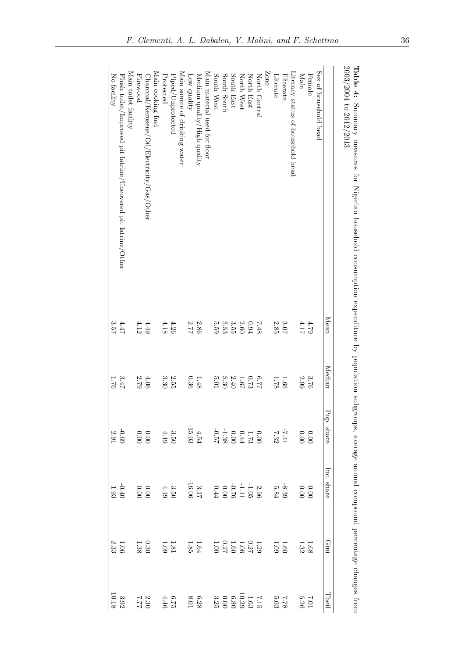<span id="page-36-0"></span>

| 2003/2004 to 2012/2013.                                                              |              |          |                                                                       |                                                                               |                                                                        |                                              |
|--------------------------------------------------------------------------------------|--------------|----------|-----------------------------------------------------------------------|-------------------------------------------------------------------------------|------------------------------------------------------------------------|----------------------------------------------|
|                                                                                      | <b>Mean</b>  | Median   | Pop. share                                                            | Inc. share                                                                    | Gini                                                                   | Theil                                        |
| Sex of household head                                                                |              |          |                                                                       |                                                                               |                                                                        |                                              |
| Female                                                                               | $62.1$       | 3.76     |                                                                       | 0.00                                                                          |                                                                        |                                              |
| Male                                                                                 | 4.17         | 2.99     | 0.0000                                                                | 0.00                                                                          | $\frac{1.68}{1.32}$                                                    | $7.01$<br>5.26                               |
| Literacy status of household head                                                    |              |          |                                                                       |                                                                               |                                                                        |                                              |
| Illiterate                                                                           | 3.07         | $1.66\,$ |                                                                       |                                                                               | 1.60                                                                   |                                              |
| Literate                                                                             | 2.85         | 1.78     | $-7.32$<br>18.41                                                      | $-8.39$<br>5.84                                                               | 1.09                                                                   | $7.78$<br>8.75                               |
| Zone                                                                                 |              |          |                                                                       |                                                                               |                                                                        |                                              |
| North Central                                                                        | 87.7         | 22.9     |                                                                       |                                                                               |                                                                        |                                              |
| North East                                                                           | $^{16}$      | $67.0$   |                                                                       |                                                                               |                                                                        |                                              |
| North West                                                                           | 2.60         | 1.67     |                                                                       |                                                                               |                                                                        |                                              |
| South East                                                                           |              | 2.40     |                                                                       |                                                                               |                                                                        |                                              |
| South South                                                                          | 3.55<br>5.53 | 5.30     | $\begin{array}{c} 0.000 \\ -0.0000 \\ -0.000 \\ -0.57 \\ \end{array}$ | $\begin{array}{c} 2.96 \\ -1.11 \\ -1.11 \\ 0.06 \\ 0.00 \\ 0.44 \end{array}$ | $\begin{array}{c} 1.29 \\ 0.27 \\ 1.66 \\ 1.60 \\ 1.00 \\ \end{array}$ |                                              |
| South West                                                                           | 5.59         | 5.01     |                                                                       |                                                                               |                                                                        |                                              |
| Main material used for floor                                                         |              |          |                                                                       |                                                                               |                                                                        |                                              |
| Medium quality/High quality                                                          | 2.86         | 1.48     |                                                                       |                                                                               |                                                                        |                                              |
| Low quality                                                                          | 2.77         | 0.36     | $4.54$<br>15.03                                                       | $3.17$<br>7.1.7                                                               | $1.64$<br>$1.85$                                                       | $6.28\phantom{}$                             |
| Main source of drinking water                                                        |              |          |                                                                       |                                                                               |                                                                        |                                              |
| Piped/Unprotected                                                                    | 4.26         | 2.55     |                                                                       |                                                                               |                                                                        |                                              |
| Protected                                                                            | 4.18         | 3.30     | $-3.50$<br>4.19                                                       | $-3.50$                                                                       | 1.81                                                                   | $6.75$<br>$4.46$                             |
| Main cooking fuel                                                                    |              |          |                                                                       |                                                                               |                                                                        |                                              |
| ${\rm Charccal}/{\rm Kerosen}$ e ${\rm Oil}/{\rm Electricity}/{\rm Gas}/{\rm Other}$ | $4.49$       | 4.06     |                                                                       | 0.00000                                                                       |                                                                        |                                              |
| Firewood                                                                             | 4.12         | $2.79$   |                                                                       |                                                                               | $\begin{array}{c} 0.30 \\ 1.38 \end{array}$                            | $2.30$<br>$7.77$                             |
| Main toilet facility                                                                 |              |          |                                                                       |                                                                               |                                                                        |                                              |
| Flush toilet/Improved pit latrine/Uncovered pit latrine/Other                        | 4.47         | 3.47     | $-0.69$<br>2.91                                                       |                                                                               | $1.06\phantom{1}$                                                      |                                              |
| No facility                                                                          | 3.57         | 1.76     |                                                                       | $-0.40$<br>1.93                                                               |                                                                        | $\begin{array}{c} 3.92 \\ 10.18 \end{array}$ |

**Table 4:** Summary measures for Nigerian household consumption expenditure by population subgroups, average annual compound percentage changes from<br>2003/2004 to 2012/2013. Table 4: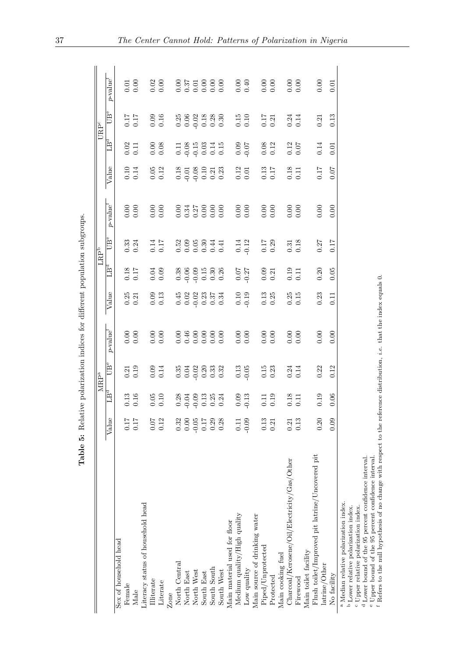|                                                                                                                                                        |         |                                                | MRP <sup>a</sup>                            |                                                                                                                       |                                             |                                                | LRP                                                                                                                                                                                                                                                                                                           |                                        |                                                                             |                                                                             | URP <sup>c</sup>                                                       |            |
|--------------------------------------------------------------------------------------------------------------------------------------------------------|---------|------------------------------------------------|---------------------------------------------|-----------------------------------------------------------------------------------------------------------------------|---------------------------------------------|------------------------------------------------|---------------------------------------------------------------------------------------------------------------------------------------------------------------------------------------------------------------------------------------------------------------------------------------------------------------|----------------------------------------|-----------------------------------------------------------------------------|-----------------------------------------------------------------------------|------------------------------------------------------------------------|------------|
|                                                                                                                                                        | Value   | $\overline{LB}^d$                              | $UB^e$                                      | $p$ -value                                                                                                            | Value                                       | $\Xi$                                          | ğ                                                                                                                                                                                                                                                                                                             | $p$ -value $^{1}$                      | Value                                                                       | $\overline{LB}^d$                                                           | $UB^e$                                                                 | $p$ -value |
| Sex of household head                                                                                                                                  |         |                                                |                                             |                                                                                                                       |                                             |                                                |                                                                                                                                                                                                                                                                                                               |                                        |                                                                             |                                                                             |                                                                        |            |
| Female                                                                                                                                                 | 0.17    |                                                |                                             |                                                                                                                       |                                             |                                                |                                                                                                                                                                                                                                                                                                               | 0.00                                   |                                                                             |                                                                             |                                                                        |            |
| Male                                                                                                                                                   | 0.17    | $0.13$<br>$0.16$                               | $\frac{0.21}{0.19}$                         | 0.00000                                                                                                               | $\frac{0.25}{0.21}$                         | $0.18$<br>0.17                                 | $0.33$<br>$0.24$                                                                                                                                                                                                                                                                                              | 0.00                                   | $0.10$<br>$0.14$                                                            | $\begin{array}{c} 0.02 \\ 0.11 \end{array}$                                 | $71.0$<br>71.0                                                         | 0.01       |
| Literacy status of household head                                                                                                                      |         |                                                |                                             |                                                                                                                       |                                             |                                                |                                                                                                                                                                                                                                                                                                               |                                        |                                                                             |                                                                             |                                                                        |            |
| Illiterate                                                                                                                                             | 0.07    |                                                |                                             |                                                                                                                       |                                             |                                                |                                                                                                                                                                                                                                                                                                               |                                        |                                                                             |                                                                             |                                                                        |            |
| Literate                                                                                                                                               | 0.12    | $\begin{array}{c} 0.05 \\ 0.10 \end{array}$    | $0.09$<br>$0.14$                            | 0.00000                                                                                                               | $\begin{array}{c} 0.09 \\ 0.13 \end{array}$ | 0.04                                           | $0.14$<br>$0.17$                                                                                                                                                                                                                                                                                              | 0.00000                                | $\begin{array}{c} 0.05 \\ 0.12 \end{array}$                                 | 0.000000                                                                    | $0.09$<br>$0.16$                                                       | 0.02       |
| Zone                                                                                                                                                   |         |                                                |                                             |                                                                                                                       |                                             |                                                |                                                                                                                                                                                                                                                                                                               |                                        |                                                                             |                                                                             |                                                                        |            |
| North Central                                                                                                                                          | 0.32    |                                                |                                             | $\begin{array}{cc} 0.46 & 0.00 & 0.00 & 0.00 \\ 0.0 & 0.00 & 0.00 & 0.00 \\ 0.00 & 0.00 & 0.00 & 0.00 \\ \end{array}$ | $0.3237$<br>$0.02337$<br>$0.337$<br>$0.34$  | $0.38$<br>$0.06$<br>$0.50$<br>$0.30$<br>$0.36$ | $\begin{array}{c} 52 \\ 0.08 \\ 0.06 \\ 0.07 \\ 0.07 \\ 0.07 \\ 0.07 \\ 0.07 \\ 0.07 \\ 0.07 \\ 0.07 \\ 0.07 \\ 0.07 \\ 0.07 \\ 0.07 \\ 0.07 \\ 0.07 \\ 0.07 \\ 0.07 \\ 0.07 \\ 0.07 \\ 0.07 \\ 0.07 \\ 0.07 \\ 0.07 \\ 0.07 \\ 0.07 \\ 0.07 \\ 0.07 \\ 0.07 \\ 0.07 \\ 0.07 \\ 0.07 \\ 0.07 \\ 0.07 \\ 0.07$ | $0.34$<br>$0.37$<br>$0.000$<br>$0.000$ | $\begin{array}{c} 0.18 \\ 0.01 \\ 0.00 \\ 0.10 \\ 0.21 \\ 0.33 \end{array}$ |                                                                             | $\begin{array}{c} 0.25 \\ 0.06 \\ 0.18 \\ 0.38 \\ 0.30 \\ \end{array}$ |            |
| North East                                                                                                                                             | $0.00$  |                                                |                                             |                                                                                                                       |                                             |                                                |                                                                                                                                                                                                                                                                                                               |                                        |                                                                             |                                                                             |                                                                        |            |
| North West                                                                                                                                             | $-0.05$ | $0.28$<br>$0.04$<br>$0.03$<br>$0.24$<br>$0.24$ | 5<br>2000<br>2000<br>2000                   |                                                                                                                       |                                             |                                                |                                                                                                                                                                                                                                                                                                               |                                        |                                                                             | $\begin{array}{c} 0.11 \\ 0.08 \\ 0.15 \\ 0.03 \\ 0.14 \\ 0.15 \end{array}$ |                                                                        |            |
| South East                                                                                                                                             | 0.17    |                                                |                                             |                                                                                                                       |                                             |                                                |                                                                                                                                                                                                                                                                                                               |                                        |                                                                             |                                                                             |                                                                        |            |
| South South                                                                                                                                            | 0.29    |                                                |                                             |                                                                                                                       |                                             |                                                |                                                                                                                                                                                                                                                                                                               |                                        |                                                                             |                                                                             |                                                                        |            |
| South West                                                                                                                                             | 0.28    |                                                |                                             |                                                                                                                       |                                             |                                                |                                                                                                                                                                                                                                                                                                               |                                        |                                                                             |                                                                             |                                                                        |            |
| Main material used for floor                                                                                                                           |         |                                                |                                             |                                                                                                                       |                                             |                                                |                                                                                                                                                                                                                                                                                                               |                                        |                                                                             |                                                                             |                                                                        |            |
| Medium quality/High quality                                                                                                                            | 0.11    | 0.09                                           | 0.13                                        |                                                                                                                       | 0.10                                        | 0.07                                           | $0.14$<br>$0.12$                                                                                                                                                                                                                                                                                              |                                        | 0.12                                                                        | 0.09                                                                        | $\begin{array}{c} 0.15 \\ 0.10 \end{array}$                            |            |
| Low quality                                                                                                                                            | $-0.09$ |                                                |                                             |                                                                                                                       |                                             |                                                |                                                                                                                                                                                                                                                                                                               |                                        |                                                                             |                                                                             |                                                                        |            |
| Main source of drinking water                                                                                                                          |         |                                                |                                             |                                                                                                                       |                                             |                                                |                                                                                                                                                                                                                                                                                                               |                                        |                                                                             |                                                                             |                                                                        |            |
| Piped/Unprotected                                                                                                                                      | 0.13    | $\begin{array}{c} 0.11 \\ 0.19 \end{array}$    | $\begin{array}{c} 0.15 \\ 0.23 \end{array}$ |                                                                                                                       | $\begin{array}{c} 0.13 \\ 0.25 \end{array}$ | $\frac{0.09}{0.21}$                            | $0.17$<br>0.29                                                                                                                                                                                                                                                                                                | 0.000000                               | $\begin{array}{c} 0.13 \\ 0.17 \end{array}$                                 | $\begin{array}{c} 0.08 \\ 0.12 \end{array}$                                 | $\begin{array}{c} 0.17 \\ 0.21 \end{array}$                            | 0.00000    |
| Protected                                                                                                                                              | 0.21    |                                                |                                             |                                                                                                                       |                                             |                                                |                                                                                                                                                                                                                                                                                                               |                                        |                                                                             |                                                                             |                                                                        |            |
| Main cooking fuel                                                                                                                                      |         |                                                |                                             |                                                                                                                       |                                             |                                                |                                                                                                                                                                                                                                                                                                               |                                        |                                                                             |                                                                             |                                                                        |            |
| Charcoal/Kerosene/Oil/Electricity/Gas/Other                                                                                                            | 0.21    | $\begin{array}{c} 0.18 \\ 0.11 \end{array}$    | 0.24                                        | 0.00000                                                                                                               |                                             | $\begin{array}{c} 0.19 \\ 0.11 \end{array}$    | $\begin{array}{c} 0.31 \\ 0.18 \end{array}$                                                                                                                                                                                                                                                                   | 0.000000                               | $\begin{array}{c} 0.18 \\ 0.11 \end{array}$                                 | $\begin{array}{c} 0.12 \\ 0.07 \end{array}$                                 | $0.24$<br>$0.14$                                                       |            |
| Firewood                                                                                                                                               | 0.13    |                                                |                                             |                                                                                                                       | $\begin{array}{c} 0.25 \\ 0.15 \end{array}$ |                                                |                                                                                                                                                                                                                                                                                                               |                                        |                                                                             |                                                                             |                                                                        |            |
| Main toilet facility                                                                                                                                   |         |                                                |                                             |                                                                                                                       |                                             |                                                |                                                                                                                                                                                                                                                                                                               |                                        |                                                                             |                                                                             |                                                                        |            |
| Flush toilet/Improved pit latrine/Uncovered pit                                                                                                        | 0.20    | 0.19                                           | 0.22                                        |                                                                                                                       |                                             | 0.20                                           |                                                                                                                                                                                                                                                                                                               | 0.00                                   |                                                                             |                                                                             | 0.21                                                                   |            |
| latrine/Other                                                                                                                                          |         |                                                |                                             | 0.00                                                                                                                  | 0.23                                        |                                                | 0.27                                                                                                                                                                                                                                                                                                          |                                        | 0.17                                                                        | 0.14                                                                        |                                                                        | 0.00       |
| No facility                                                                                                                                            | 0.09    | 0.06                                           | 0.12                                        | 0.00                                                                                                                  | 0.11                                        | 0.05                                           | 0.17                                                                                                                                                                                                                                                                                                          | 0.00                                   | 0.07                                                                        | 0.01                                                                        | 0.13                                                                   | 0.01       |
| <sup>a</sup> Median relative polarization index.<br><sup>c</sup> Upper relative polarization index.<br><sup>b</sup> Lower relative polarization index. |         |                                                |                                             |                                                                                                                       |                                             |                                                |                                                                                                                                                                                                                                                                                                               |                                        |                                                                             |                                                                             |                                                                        |            |
| <sup>d</sup> Lower bound of the 95 percent confidence interval.                                                                                        |         |                                                |                                             |                                                                                                                       |                                             |                                                |                                                                                                                                                                                                                                                                                                               |                                        |                                                                             |                                                                             |                                                                        |            |
| <sup>e</sup> Upper bound of the 95 percent confidence interval<br>$\frac{1}{2}$<br>$f = \frac{1}{2}$                                                   |         |                                                |                                             |                                                                                                                       |                                             |                                                |                                                                                                                                                                                                                                                                                                               |                                        |                                                                             |                                                                             |                                                                        |            |

<span id="page-37-0"></span>Table 5: Relative polarization indices for different population subgroups.

<sup>1</sup> Refers to the null hypothesis of no change with respect to the reference distribution, *i.e.* that the index equals 0.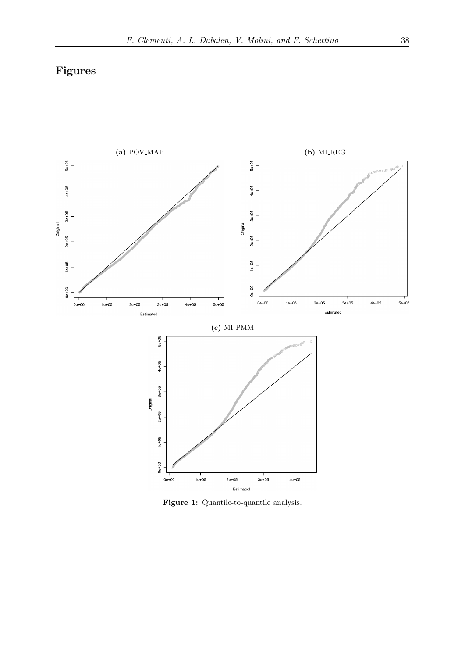# <span id="page-38-0"></span>Figures



Figure 1: Quantile-to-quantile analysis.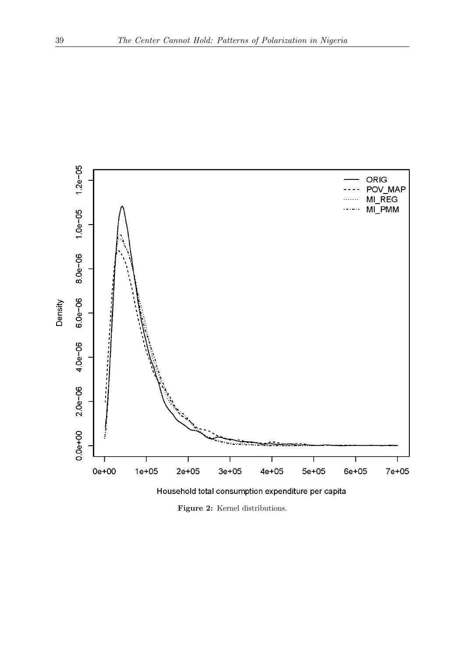<span id="page-39-0"></span>

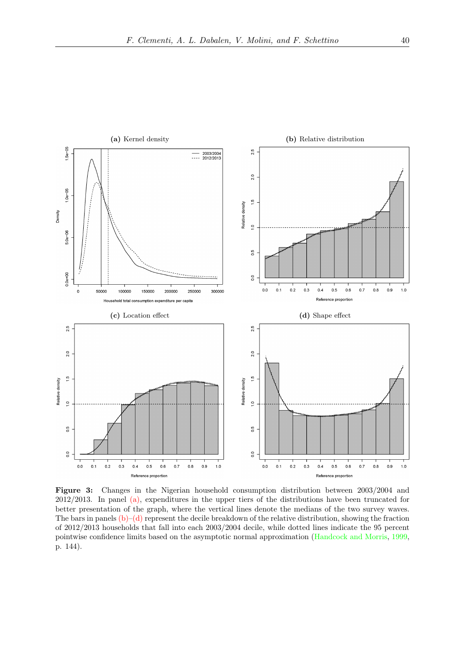<span id="page-40-3"></span><span id="page-40-2"></span><span id="page-40-1"></span><span id="page-40-0"></span>

<span id="page-40-4"></span>Figure 3: Changes in the Nigerian household consumption distribution between 2003/2004 and 2012/2013. In panel [\(a\),](#page-40-1) expenditures in the upper tiers of the distributions have been truncated for better presentation of the graph, where the vertical lines denote the medians of the two survey waves. The bars in panels  $(b)$ –[\(d\)](#page-40-4) represent the decile breakdown of the relative distribution, showing the fraction of 2012/2013 households that fall into each 2003/2004 decile, while dotted lines indicate the 95 percent pointwise confidence limits based on the asymptotic normal approximation [\(Handcock and Morris,](#page-28-1) [1999,](#page-28-1) p. 144).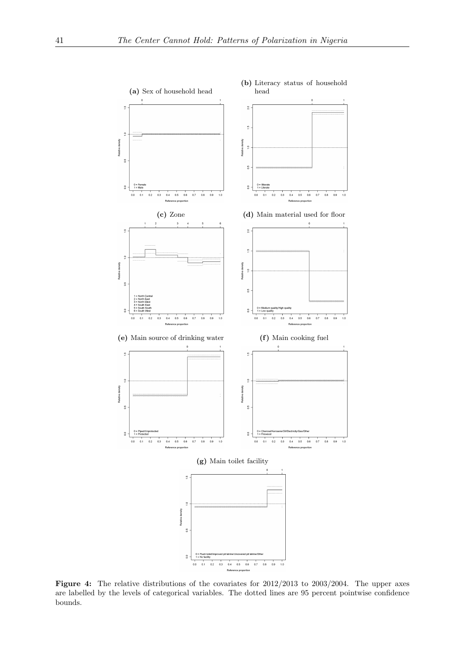<span id="page-41-0"></span>

Figure 4: The relative distributions of the covariates for  $2012/2013$  to  $2003/2004$ . The upper axes are labelled by the levels of categorical variables. The dotted lines are 95 percent pointwise confidence bounds.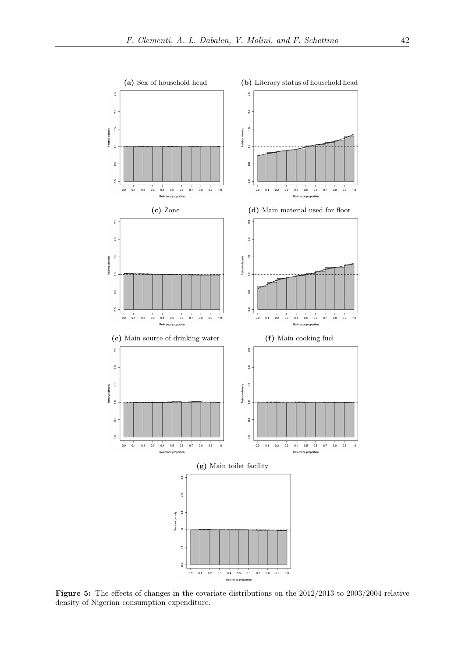<span id="page-42-0"></span>

Figure 5: The effects of changes in the covariate distributions on the  $2012/2013$  to  $2003/2004$  relative density of Nigerian consumption expenditure.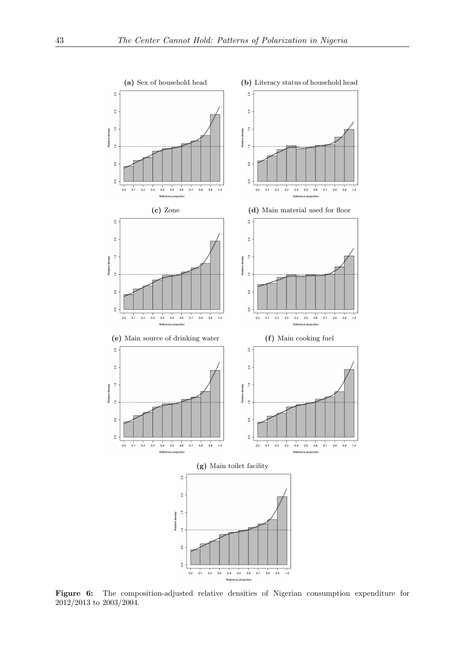<span id="page-43-0"></span>

Figure 6: The composition-adjusted relative densities of Nigerian consumption expenditure for 2012/2013 to 2003/2004.